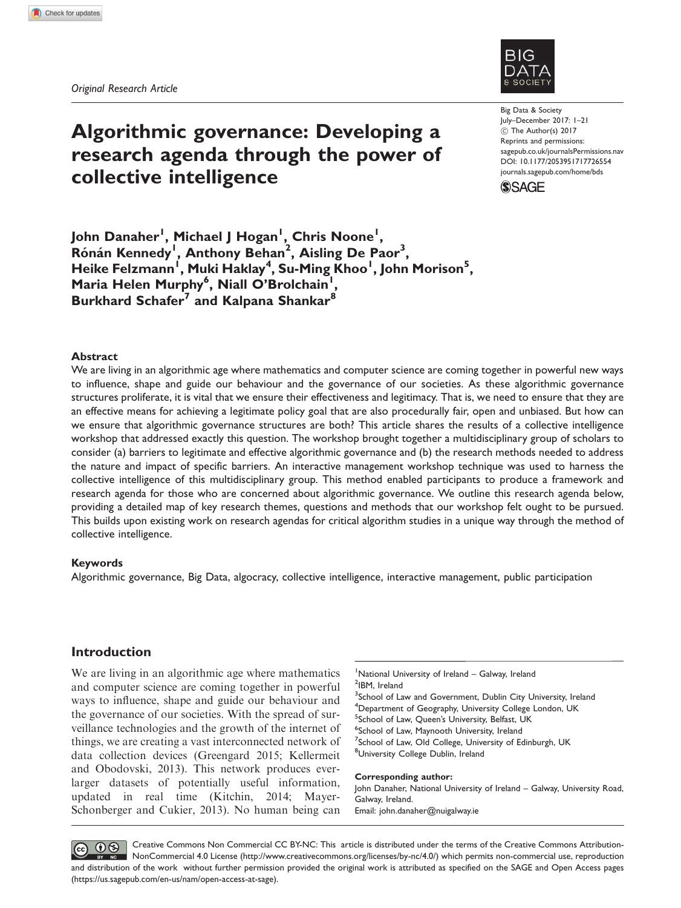

# Algorithmic governance: Developing a research agenda through the power of collective intelligence

Big Data & Society July–December 2017: 1–21 (C) The Author(s) 2017 Reprints and permissions: [sagepub.co.uk/journalsPermissions.nav](https://uk.sagepub.com/en-gb/journals-permissions) DOI: [10.1177/2053951717726554](https://doi.org/10.1177/2053951717726554) <journals.sagepub.com/home/bds>



John Danaher<sup>I</sup>, Michael J Hogan<sup>I</sup>, Chris Noone<sup>I</sup>, Rónán Kennedy<sup>l</sup>, Anthony Behan<sup>2</sup>, Aisling De Paor<sup>3</sup>, Heike Felzmann<sup>i</sup>, Muki Haklay<sup>4</sup>, Su-Ming Khoo<sup>l</sup>, John Morison<sup>5</sup>, Maria Helen Murphy<sup>6</sup>, Niall O'Brolchain<sup>1</sup>, Burkhard Schafer<sup>7</sup> and Kalpana Shankar<sup>8</sup>

# Abstract

We are living in an algorithmic age where mathematics and computer science are coming together in powerful new ways to influence, shape and guide our behaviour and the governance of our societies. As these algorithmic governance structures proliferate, it is vital that we ensure their effectiveness and legitimacy. That is, we need to ensure that they are an effective means for achieving a legitimate policy goal that are also procedurally fair, open and unbiased. But how can we ensure that algorithmic governance structures are both? This article shares the results of a collective intelligence workshop that addressed exactly this question. The workshop brought together a multidisciplinary group of scholars to consider (a) barriers to legitimate and effective algorithmic governance and (b) the research methods needed to address the nature and impact of specific barriers. An interactive management workshop technique was used to harness the collective intelligence of this multidisciplinary group. This method enabled participants to produce a framework and research agenda for those who are concerned about algorithmic governance. We outline this research agenda below, providing a detailed map of key research themes, questions and methods that our workshop felt ought to be pursued. This builds upon existing work on research agendas for critical algorithm studies in a unique way through the method of collective intelligence.

### Keywords

Algorithmic governance, Big Data, algocracy, collective intelligence, interactive management, public participation

# Introduction

We are living in an algorithmic age where mathematics and computer science are coming together in powerful ways to influence, shape and guide our behaviour and the governance of our societies. With the spread of surveillance technologies and the growth of the internet of things, we are creating a vast interconnected network of data collection devices (Greengard 2015; Kellermeit and Obodovski, 2013). This network produces everlarger datasets of potentially useful information, updated in real time (Kitchin, 2014; Mayer-Schonberger and Cukier, 2013). No human being can <sup>1</sup>National University of Ireland - Galway, Ireland 2 IBM, Ireland

<sup>3</sup>School of Law and Government, Dublin City University, Ireland <sup>4</sup>Department of Geography, University College London, UK <sup>5</sup>School of Law, Queen's University, Belfast, UK 6 School of Law, Maynooth University, Ireland <sup>7</sup>School of Law, Old College, University of Edinburgh, UK <sup>8</sup>University College Dublin, Ireland

#### Corresponding author:

John Danaher, National University of Ireland – Galway, University Road, Galway, Ireland. Email: john.danaher@nuigalway.ie

Creative Commons Non Commercial CC BY-NC: This article is distributed under the terms of the Creative Commons Attribution- $\odot$   $\odot$ NonCommercial 4.0 License (http://www.creativecommons.org/licenses/by-nc/4.0/) which permits non-commercial use, reproduction and distribution of the work without further permission provided the original work is attributed as specified on the SAGE and Open Access pages (https://us.sagepub.com/en-us/nam/open-access-at-sage).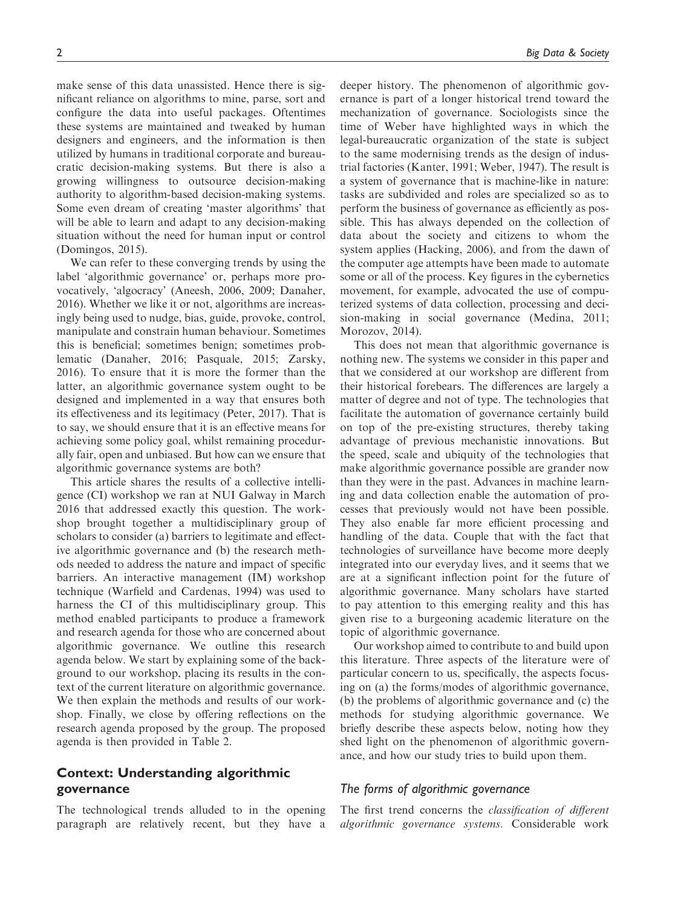make sense of this data unassisted. Hence there is significant reliance on algorithms to mine, parse, sort and configure the data into useful packages. Oftentimes these systems are maintained and tweaked by human designers and engineers, and the information is then utilized by humans in traditional corporate and bureaucratic decision-making systems. But there is also a growing willingness to outsource decision-making authority to algorithm-based decision-making systems. Some even dream of creating 'master algorithms' that will be able to learn and adapt to any decision-making situation without the need for human input or control (Domingos, 2015).

We can refer to these converging trends by using the label 'algorithmic governance' or, perhaps more provocatively, 'algocracy' (Aneesh, 2006, 2009; Danaher, 2016). Whether we like it or not, algorithms are increasingly being used to nudge, bias, guide, provoke, control, manipulate and constrain human behaviour. Sometimes this is beneficial; sometimes benign; sometimes problematic (Danaher, 2016; Pasquale, 2015; Zarsky, 2016). To ensure that it is more the former than the latter, an algorithmic governance system ought to be designed and implemented in a way that ensures both its effectiveness and its legitimacy (Peter, 2017). That is to say, we should ensure that it is an effective means for achieving some policy goal, whilst remaining procedurally fair, open and unbiased. But how can we ensure that algorithmic governance systems are both?

This article shares the results of a collective intelligence (CI) workshop we ran at NUI Galway in March 2016 that addressed exactly this question. The workshop brought together a multidisciplinary group of scholars to consider (a) barriers to legitimate and effective algorithmic governance and (b) the research methods needed to address the nature and impact of specific barriers. An interactive management (IM) workshop technique (Warfield and Cardenas, 1994) was used to harness the CI of this multidisciplinary group. This method enabled participants to produce a framework and research agenda for those who are concerned about algorithmic governance. We outline this research agenda below. We start by explaining some of the background to our workshop, placing its results in the context of the current literature on algorithmic governance. We then explain the methods and results of our workshop. Finally, we close by offering reflections on the research agenda proposed by the group. The proposed agenda is then provided in Table 2.

# Context: Understanding algorithmic governance

The technological trends alluded to in the opening paragraph are relatively recent, but they have a

deeper history. The phenomenon of algorithmic governance is part of a longer historical trend toward the mechanization of governance. Sociologists since the time of Weber have highlighted ways in which the legal-bureaucratic organization of the state is subject to the same modernising trends as the design of industrial factories (Kanter, 1991; Weber, 1947). The result is a system of governance that is machine-like in nature: tasks are subdivided and roles are specialized so as to perform the business of governance as efficiently as possible. This has always depended on the collection of data about the society and citizens to whom the system applies (Hacking, 2006), and from the dawn of the computer age attempts have been made to automate some or all of the process. Key figures in the cybernetics movement, for example, advocated the use of computerized systems of data collection, processing and decision-making in social governance (Medina, 2011; Morozov, 2014).

This does not mean that algorithmic governance is nothing new. The systems we consider in this paper and that we considered at our workshop are different from their historical forebears. The differences are largely a matter of degree and not of type. The technologies that facilitate the automation of governance certainly build on top of the pre-existing structures, thereby taking advantage of previous mechanistic innovations. But the speed, scale and ubiquity of the technologies that make algorithmic governance possible are grander now than they were in the past. Advances in machine learning and data collection enable the automation of processes that previously would not have been possible. They also enable far more efficient processing and handling of the data. Couple that with the fact that technologies of surveillance have become more deeply integrated into our everyday lives, and it seems that we are at a significant inflection point for the future of algorithmic governance. Many scholars have started to pay attention to this emerging reality and this has given rise to a burgeoning academic literature on the topic of algorithmic governance.

Our workshop aimed to contribute to and build upon this literature. Three aspects of the literature were of particular concern to us, specifically, the aspects focusing on (a) the forms/modes of algorithmic governance, (b) the problems of algorithmic governance and (c) the methods for studying algorithmic governance. We briefly describe these aspects below, noting how they shed light on the phenomenon of algorithmic governance, and how our study tries to build upon them.

### The forms of algorithmic governance

The first trend concerns the *classification of different* algorithmic governance systems. Considerable work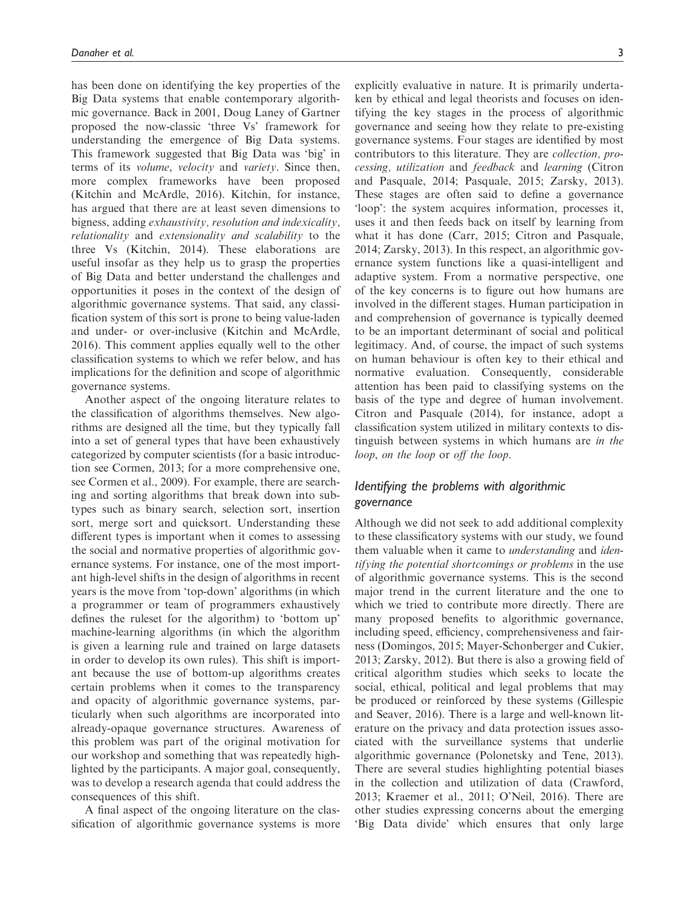has been done on identifying the key properties of the Big Data systems that enable contemporary algorithmic governance. Back in 2001, Doug Laney of Gartner proposed the now-classic 'three Vs' framework for understanding the emergence of Big Data systems. This framework suggested that Big Data was 'big' in terms of its volume, velocity and variety. Since then, more complex frameworks have been proposed (Kitchin and McArdle, 2016). Kitchin, for instance, has argued that there are at least seven dimensions to bigness, adding exhaustivity, resolution and indexicality, relationality and extensionality and scalability to the three Vs (Kitchin, 2014). These elaborations are useful insofar as they help us to grasp the properties of Big Data and better understand the challenges and opportunities it poses in the context of the design of algorithmic governance systems. That said, any classification system of this sort is prone to being value-laden and under- or over-inclusive (Kitchin and McArdle, 2016). This comment applies equally well to the other classification systems to which we refer below, and has implications for the definition and scope of algorithmic governance systems.

Another aspect of the ongoing literature relates to the classification of algorithms themselves. New algorithms are designed all the time, but they typically fall into a set of general types that have been exhaustively categorized by computer scientists (for a basic introduction see Cormen, 2013; for a more comprehensive one, see Cormen et al., 2009). For example, there are searching and sorting algorithms that break down into subtypes such as binary search, selection sort, insertion sort, merge sort and quicksort. Understanding these different types is important when it comes to assessing the social and normative properties of algorithmic governance systems. For instance, one of the most important high-level shifts in the design of algorithms in recent years is the move from 'top-down' algorithms (in which a programmer or team of programmers exhaustively defines the ruleset for the algorithm) to 'bottom up' machine-learning algorithms (in which the algorithm is given a learning rule and trained on large datasets in order to develop its own rules). This shift is important because the use of bottom-up algorithms creates certain problems when it comes to the transparency and opacity of algorithmic governance systems, particularly when such algorithms are incorporated into already-opaque governance structures. Awareness of this problem was part of the original motivation for our workshop and something that was repeatedly highlighted by the participants. A major goal, consequently, was to develop a research agenda that could address the consequences of this shift.

A final aspect of the ongoing literature on the classification of algorithmic governance systems is more explicitly evaluative in nature. It is primarily undertaken by ethical and legal theorists and focuses on identifying the key stages in the process of algorithmic governance and seeing how they relate to pre-existing governance systems. Four stages are identified by most contributors to this literature. They are collection, processing, utilization and feedback and learning (Citron and Pasquale, 2014; Pasquale, 2015; Zarsky, 2013). These stages are often said to define a governance 'loop': the system acquires information, processes it, uses it and then feeds back on itself by learning from what it has done (Carr, 2015; Citron and Pasquale, 2014; Zarsky, 2013). In this respect, an algorithmic governance system functions like a quasi-intelligent and adaptive system. From a normative perspective, one of the key concerns is to figure out how humans are involved in the different stages. Human participation in and comprehension of governance is typically deemed to be an important determinant of social and political legitimacy. And, of course, the impact of such systems on human behaviour is often key to their ethical and normative evaluation. Consequently, considerable attention has been paid to classifying systems on the basis of the type and degree of human involvement. Citron and Pasquale (2014), for instance, adopt a classification system utilized in military contexts to distinguish between systems in which humans are in the loop, on the loop or off the loop.

# Identifying the problems with algorithmic governance

Although we did not seek to add additional complexity to these classificatory systems with our study, we found them valuable when it came to understanding and identifying the potential shortcomings or problems in the use of algorithmic governance systems. This is the second major trend in the current literature and the one to which we tried to contribute more directly. There are many proposed benefits to algorithmic governance, including speed, efficiency, comprehensiveness and fairness (Domingos, 2015; Mayer-Schonberger and Cukier, 2013; Zarsky, 2012). But there is also a growing field of critical algorithm studies which seeks to locate the social, ethical, political and legal problems that may be produced or reinforced by these systems (Gillespie and Seaver, 2016). There is a large and well-known literature on the privacy and data protection issues associated with the surveillance systems that underlie algorithmic governance (Polonetsky and Tene, 2013). There are several studies highlighting potential biases in the collection and utilization of data (Crawford, 2013; Kraemer et al., 2011; O'Neil, 2016). There are other studies expressing concerns about the emerging 'Big Data divide' which ensures that only large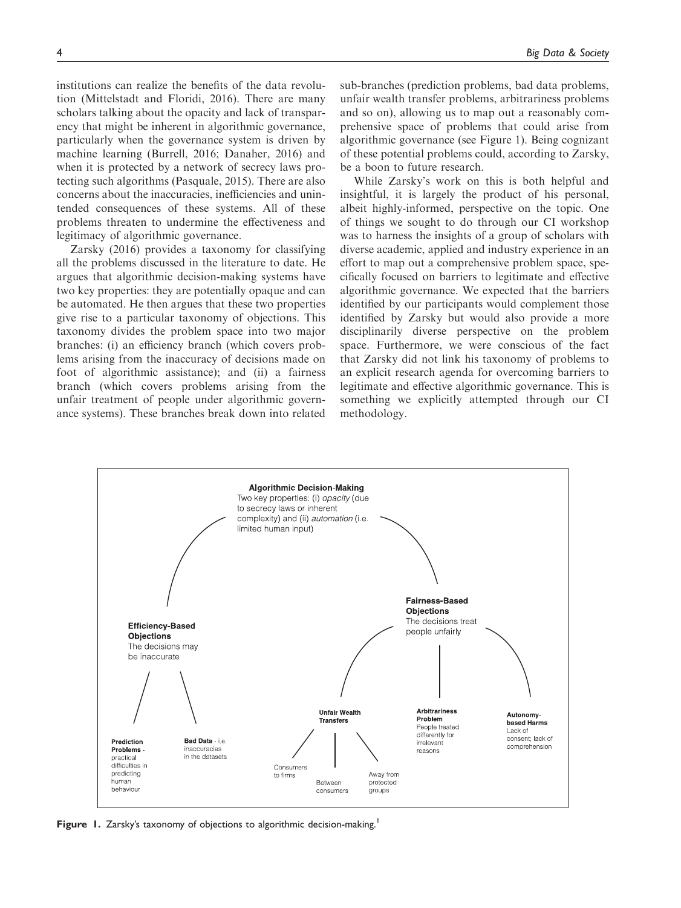institutions can realize the benefits of the data revolution (Mittelstadt and Floridi, 2016). There are many scholars talking about the opacity and lack of transparency that might be inherent in algorithmic governance, particularly when the governance system is driven by machine learning (Burrell, 2016; Danaher, 2016) and when it is protected by a network of secrecy laws protecting such algorithms (Pasquale, 2015). There are also concerns about the inaccuracies, inefficiencies and unintended consequences of these systems. All of these problems threaten to undermine the effectiveness and legitimacy of algorithmic governance.

Zarsky (2016) provides a taxonomy for classifying all the problems discussed in the literature to date. He argues that algorithmic decision-making systems have two key properties: they are potentially opaque and can be automated. He then argues that these two properties give rise to a particular taxonomy of objections. This taxonomy divides the problem space into two major branches: (i) an efficiency branch (which covers problems arising from the inaccuracy of decisions made on foot of algorithmic assistance); and (ii) a fairness branch (which covers problems arising from the unfair treatment of people under algorithmic governance systems). These branches break down into related

sub-branches (prediction problems, bad data problems, unfair wealth transfer problems, arbitrariness problems and so on), allowing us to map out a reasonably comprehensive space of problems that could arise from algorithmic governance (see Figure 1). Being cognizant of these potential problems could, according to Zarsky, be a boon to future research.

While Zarsky's work on this is both helpful and insightful, it is largely the product of his personal, albeit highly-informed, perspective on the topic. One of things we sought to do through our CI workshop was to harness the insights of a group of scholars with diverse academic, applied and industry experience in an effort to map out a comprehensive problem space, specifically focused on barriers to legitimate and effective algorithmic governance. We expected that the barriers identified by our participants would complement those identified by Zarsky but would also provide a more disciplinarily diverse perspective on the problem space. Furthermore, we were conscious of the fact that Zarsky did not link his taxonomy of problems to an explicit research agenda for overcoming barriers to legitimate and effective algorithmic governance. This is something we explicitly attempted through our CI methodology.



Figure 1. Zarsky's taxonomy of objections to algorithmic decision-making.<sup>1</sup>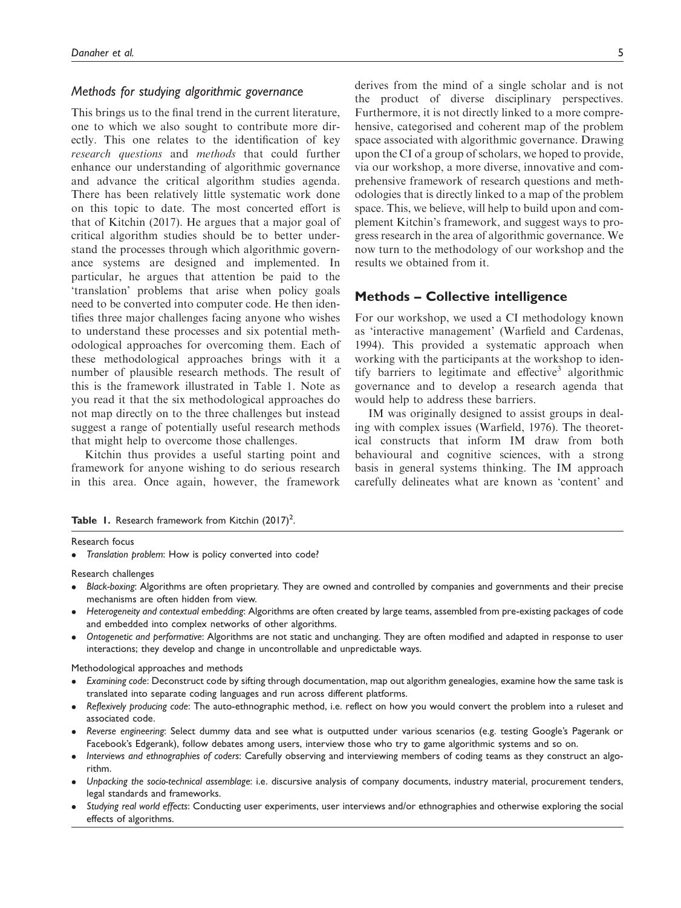### Methods for studying algorithmic governance

This brings us to the final trend in the current literature, one to which we also sought to contribute more directly. This one relates to the identification of key research questions and methods that could further enhance our understanding of algorithmic governance and advance the critical algorithm studies agenda. There has been relatively little systematic work done on this topic to date. The most concerted effort is that of Kitchin (2017). He argues that a major goal of critical algorithm studies should be to better understand the processes through which algorithmic governance systems are designed and implemented. In particular, he argues that attention be paid to the 'translation' problems that arise when policy goals need to be converted into computer code. He then identifies three major challenges facing anyone who wishes to understand these processes and six potential methodological approaches for overcoming them. Each of these methodological approaches brings with it a number of plausible research methods. The result of this is the framework illustrated in Table 1. Note as you read it that the six methodological approaches do not map directly on to the three challenges but instead suggest a range of potentially useful research methods that might help to overcome those challenges.

Kitchin thus provides a useful starting point and framework for anyone wishing to do serious research in this area. Once again, however, the framework derives from the mind of a single scholar and is not the product of diverse disciplinary perspectives. Furthermore, it is not directly linked to a more comprehensive, categorised and coherent map of the problem space associated with algorithmic governance. Drawing upon the CI of a group of scholars, we hoped to provide, via our workshop, a more diverse, innovative and comprehensive framework of research questions and methodologies that is directly linked to a map of the problem space. This, we believe, will help to build upon and complement Kitchin's framework, and suggest ways to progress research in the area of algorithmic governance. We now turn to the methodology of our workshop and the results we obtained from it.

### Methods – Collective intelligence

For our workshop, we used a CI methodology known as 'interactive management' (Warfield and Cardenas, 1994). This provided a systematic approach when working with the participants at the workshop to identify barriers to legitimate and effective<sup>3</sup> algorithmic governance and to develop a research agenda that would help to address these barriers.

IM was originally designed to assist groups in dealing with complex issues (Warfield, 1976). The theoretical constructs that inform IM draw from both behavioural and cognitive sciences, with a strong basis in general systems thinking. The IM approach carefully delineates what are known as 'content' and

Table 1. Research framework from Kitchin  $(2017)^2$ .

Research focus

 $\bullet$ Translation problem: How is policy converted into code?

Research challenges

- $\bullet$  Black-boxing: Algorithms are often proprietary. They are owned and controlled by companies and governments and their precise mechanisms are often hidden from view.
- $\bullet$  Heterogeneity and contextual embedding: Algorithms are often created by large teams, assembled from pre-existing packages of code and embedded into complex networks of other algorithms.
- $\bullet$  Ontogenetic and performative: Algorithms are not static and unchanging. They are often modified and adapted in response to user interactions; they develop and change in uncontrollable and unpredictable ways.

Methodological approaches and methods

- $\bullet$  Examining code: Deconstruct code by sifting through documentation, map out algorithm genealogies, examine how the same task is translated into separate coding languages and run across different platforms.
- $\bullet$  Reflexively producing code: The auto-ethnographic method, i.e. reflect on how you would convert the problem into a ruleset and associated code.
- $\bullet$  Reverse engineering: Select dummy data and see what is outputted under various scenarios (e.g. testing Google's Pagerank or Facebook's Edgerank), follow debates among users, interview those who try to game algorithmic systems and so on.
- $\bullet$  Interviews and ethnographies of coders: Carefully observing and interviewing members of coding teams as they construct an algorithm.
- $\bullet$  Unpacking the socio-technical assemblage: i.e. discursive analysis of company documents, industry material, procurement tenders, legal standards and frameworks.
- $\bullet$  Studying real world effects: Conducting user experiments, user interviews and/or ethnographies and otherwise exploring the social effects of algorithms.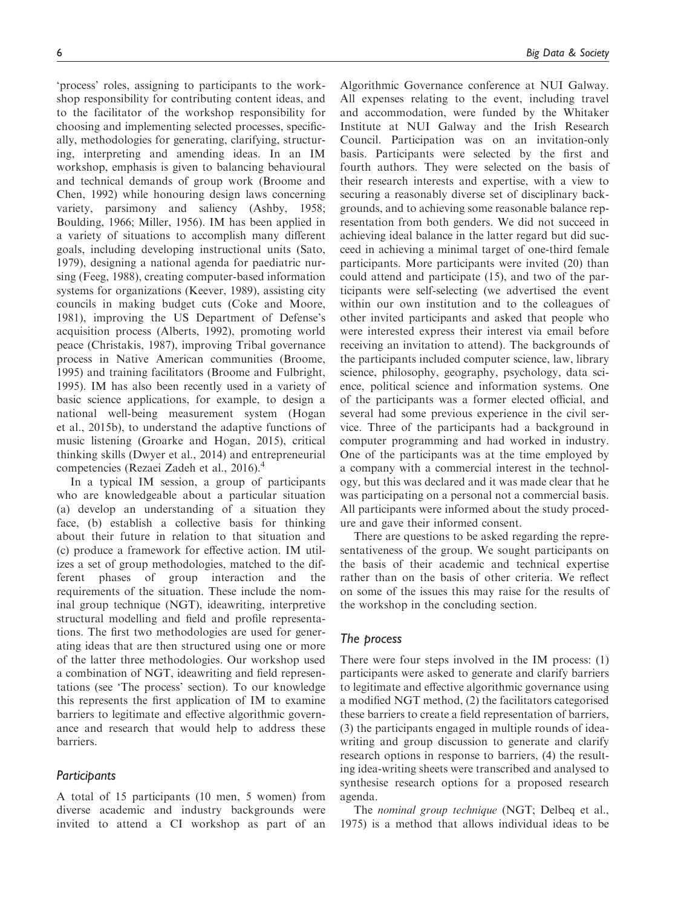'process' roles, assigning to participants to the workshop responsibility for contributing content ideas, and to the facilitator of the workshop responsibility for choosing and implementing selected processes, specifically, methodologies for generating, clarifying, structuring, interpreting and amending ideas. In an IM workshop, emphasis is given to balancing behavioural and technical demands of group work (Broome and Chen, 1992) while honouring design laws concerning variety, parsimony and saliency (Ashby, 1958; Boulding, 1966; Miller, 1956). IM has been applied in a variety of situations to accomplish many different goals, including developing instructional units (Sato, 1979), designing a national agenda for paediatric nursing (Feeg, 1988), creating computer-based information systems for organizations (Keever, 1989), assisting city councils in making budget cuts (Coke and Moore, 1981), improving the US Department of Defense's acquisition process (Alberts, 1992), promoting world peace (Christakis, 1987), improving Tribal governance process in Native American communities (Broome, 1995) and training facilitators (Broome and Fulbright, 1995). IM has also been recently used in a variety of basic science applications, for example, to design a national well-being measurement system (Hogan et al., 2015b), to understand the adaptive functions of music listening (Groarke and Hogan, 2015), critical thinking skills (Dwyer et al., 2014) and entrepreneurial competencies (Rezaei Zadeh et al., 2016).<sup>4</sup>

In a typical IM session, a group of participants who are knowledgeable about a particular situation (a) develop an understanding of a situation they face, (b) establish a collective basis for thinking about their future in relation to that situation and (c) produce a framework for effective action. IM utilizes a set of group methodologies, matched to the different phases of group interaction and the requirements of the situation. These include the nominal group technique (NGT), ideawriting, interpretive structural modelling and field and profile representations. The first two methodologies are used for generating ideas that are then structured using one or more of the latter three methodologies. Our workshop used a combination of NGT, ideawriting and field representations (see 'The process' section). To our knowledge this represents the first application of IM to examine barriers to legitimate and effective algorithmic governance and research that would help to address these barriers.

### **Participants**

A total of 15 participants (10 men, 5 women) from diverse academic and industry backgrounds were invited to attend a CI workshop as part of an

Algorithmic Governance conference at NUI Galway. All expenses relating to the event, including travel and accommodation, were funded by the Whitaker Institute at NUI Galway and the Irish Research Council. Participation was on an invitation-only basis. Participants were selected by the first and fourth authors. They were selected on the basis of their research interests and expertise, with a view to securing a reasonably diverse set of disciplinary backgrounds, and to achieving some reasonable balance representation from both genders. We did not succeed in achieving ideal balance in the latter regard but did succeed in achieving a minimal target of one-third female participants. More participants were invited (20) than could attend and participate (15), and two of the participants were self-selecting (we advertised the event within our own institution and to the colleagues of other invited participants and asked that people who were interested express their interest via email before receiving an invitation to attend). The backgrounds of the participants included computer science, law, library science, philosophy, geography, psychology, data science, political science and information systems. One of the participants was a former elected official, and several had some previous experience in the civil service. Three of the participants had a background in computer programming and had worked in industry. One of the participants was at the time employed by a company with a commercial interest in the technology, but this was declared and it was made clear that he was participating on a personal not a commercial basis. All participants were informed about the study procedure and gave their informed consent.

There are questions to be asked regarding the representativeness of the group. We sought participants on the basis of their academic and technical expertise rather than on the basis of other criteria. We reflect on some of the issues this may raise for the results of the workshop in the concluding section.

### The process

There were four steps involved in the IM process: (1) participants were asked to generate and clarify barriers to legitimate and effective algorithmic governance using a modified NGT method, (2) the facilitators categorised these barriers to create a field representation of barriers, (3) the participants engaged in multiple rounds of ideawriting and group discussion to generate and clarify research options in response to barriers, (4) the resulting idea-writing sheets were transcribed and analysed to synthesise research options for a proposed research agenda.

The nominal group technique (NGT; Delbeq et al., 1975) is a method that allows individual ideas to be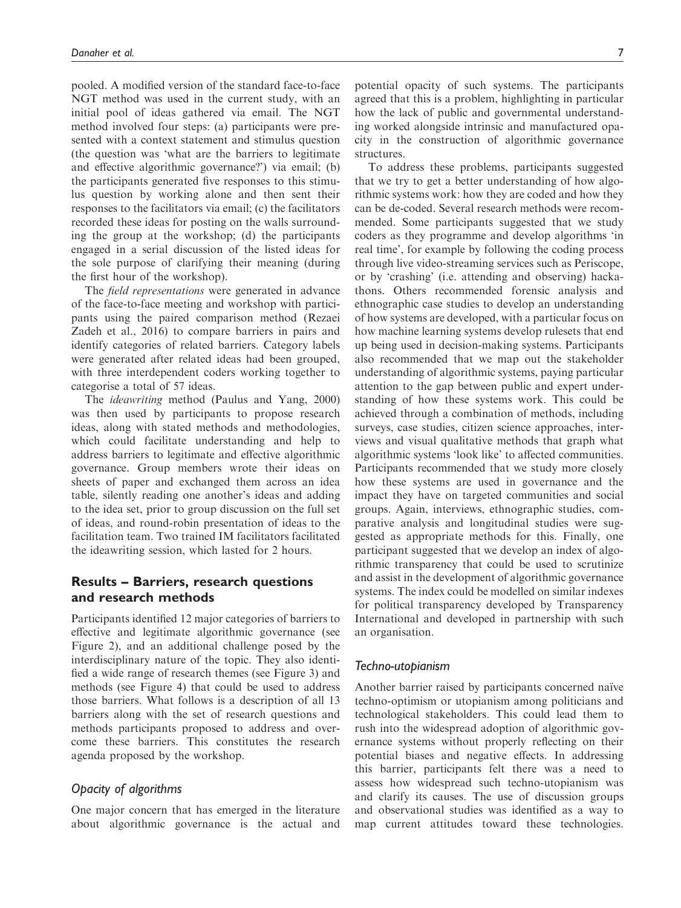pooled. A modified version of the standard face-to-face NGT method was used in the current study, with an initial pool of ideas gathered via email. The NGT method involved four steps: (a) participants were presented with a context statement and stimulus question (the question was 'what are the barriers to legitimate and effective algorithmic governance?') via email; (b) the participants generated five responses to this stimulus question by working alone and then sent their responses to the facilitators via email; (c) the facilitators recorded these ideas for posting on the walls surrounding the group at the workshop; (d) the participants engaged in a serial discussion of the listed ideas for the sole purpose of clarifying their meaning (during the first hour of the workshop).

The field representations were generated in advance of the face-to-face meeting and workshop with participants using the paired comparison method (Rezaei Zadeh et al., 2016) to compare barriers in pairs and identify categories of related barriers. Category labels were generated after related ideas had been grouped, with three interdependent coders working together to categorise a total of 57 ideas.

The ideawriting method (Paulus and Yang, 2000) was then used by participants to propose research ideas, along with stated methods and methodologies, which could facilitate understanding and help to address barriers to legitimate and effective algorithmic governance. Group members wrote their ideas on sheets of paper and exchanged them across an idea table, silently reading one another's ideas and adding to the idea set, prior to group discussion on the full set of ideas, and round-robin presentation of ideas to the facilitation team. Two trained IM facilitators facilitated the ideawriting session, which lasted for 2 hours.

# Results – Barriers, research questions and research methods

Participants identified 12 major categories of barriers to effective and legitimate algorithmic governance (see Figure 2), and an additional challenge posed by the interdisciplinary nature of the topic. They also identified a wide range of research themes (see Figure 3) and methods (see Figure 4) that could be used to address those barriers. What follows is a description of all 13 barriers along with the set of research questions and methods participants proposed to address and overcome these barriers. This constitutes the research agenda proposed by the workshop.

### Opacity of algorithms

One major concern that has emerged in the literature about algorithmic governance is the actual and potential opacity of such systems. The participants agreed that this is a problem, highlighting in particular how the lack of public and governmental understanding worked alongside intrinsic and manufactured opacity in the construction of algorithmic governance structures

To address these problems, participants suggested that we try to get a better understanding of how algorithmic systems work: how they are coded and how they can be de-coded. Several research methods were recommended. Some participants suggested that we study coders as they programme and develop algorithms 'in real time', for example by following the coding process through live video-streaming services such as Periscope, or by 'crashing' (i.e. attending and observing) hackathons. Others recommended forensic analysis and ethnographic case studies to develop an understanding of how systems are developed, with a particular focus on how machine learning systems develop rulesets that end up being used in decision-making systems. Participants also recommended that we map out the stakeholder understanding of algorithmic systems, paying particular attention to the gap between public and expert understanding of how these systems work. This could be achieved through a combination of methods, including surveys, case studies, citizen science approaches, interviews and visual qualitative methods that graph what algorithmic systems 'look like' to affected communities. Participants recommended that we study more closely how these systems are used in governance and the impact they have on targeted communities and social groups. Again, interviews, ethnographic studies, comparative analysis and longitudinal studies were suggested as appropriate methods for this. Finally, one participant suggested that we develop an index of algorithmic transparency that could be used to scrutinize and assist in the development of algorithmic governance systems. The index could be modelled on similar indexes for political transparency developed by Transparency International and developed in partnership with such an organisation.

#### Techno-utopianism

Another barrier raised by participants concerned naïve techno-optimism or utopianism among politicians and technological stakeholders. This could lead them to rush into the widespread adoption of algorithmic governance systems without properly reflecting on their potential biases and negative effects. In addressing this barrier, participants felt there was a need to assess how widespread such techno-utopianism was and clarify its causes. The use of discussion groups and observational studies was identified as a way to map current attitudes toward these technologies.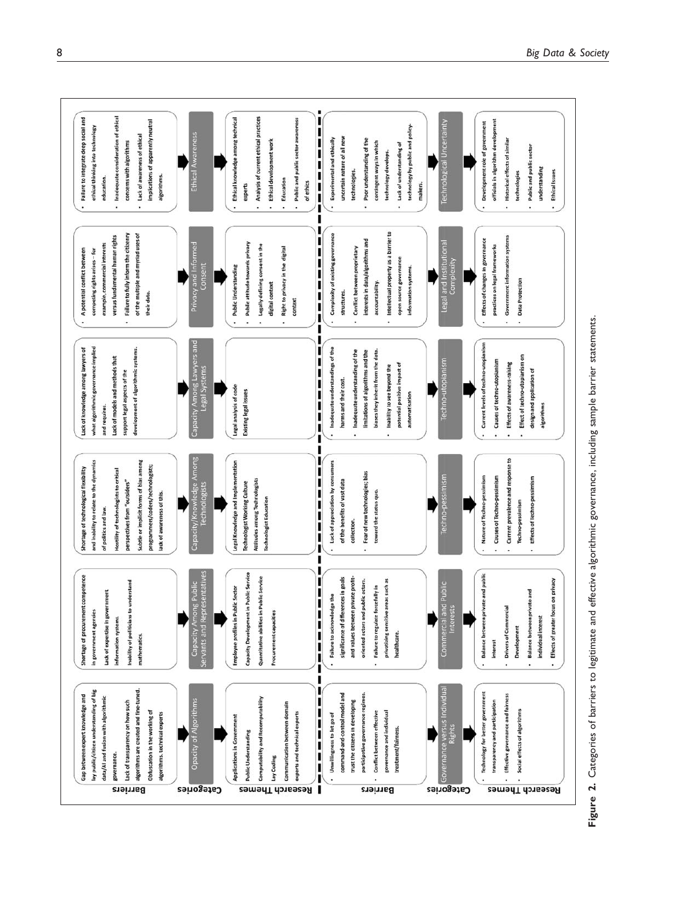



**8** Big Data & Society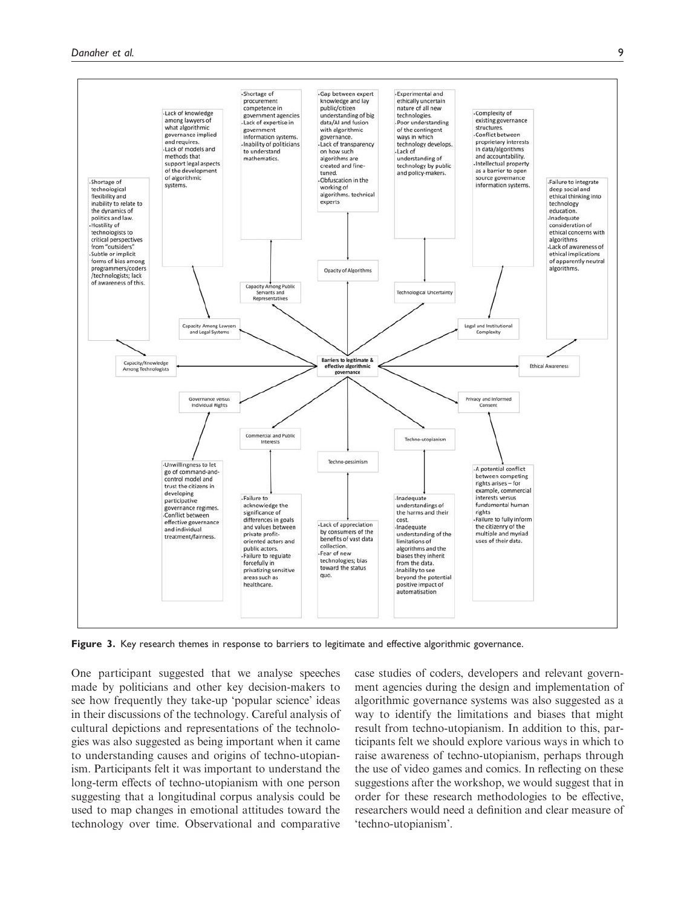

Figure 3. Key research themes in response to barriers to legitimate and effective algorithmic governance.

One participant suggested that we analyse speeches made by politicians and other key decision-makers to see how frequently they take-up 'popular science' ideas in their discussions of the technology. Careful analysis of cultural depictions and representations of the technologies was also suggested as being important when it came to understanding causes and origins of techno-utopianism. Participants felt it was important to understand the long-term effects of techno-utopianism with one person suggesting that a longitudinal corpus analysis could be used to map changes in emotional attitudes toward the technology over time. Observational and comparative case studies of coders, developers and relevant government agencies during the design and implementation of algorithmic governance systems was also suggested as a way to identify the limitations and biases that might result from techno-utopianism. In addition to this, participants felt we should explore various ways in which to raise awareness of techno-utopianism, perhaps through the use of video games and comics. In reflecting on these suggestions after the workshop, we would suggest that in order for these research methodologies to be effective, researchers would need a definition and clear measure of 'techno-utopianism'.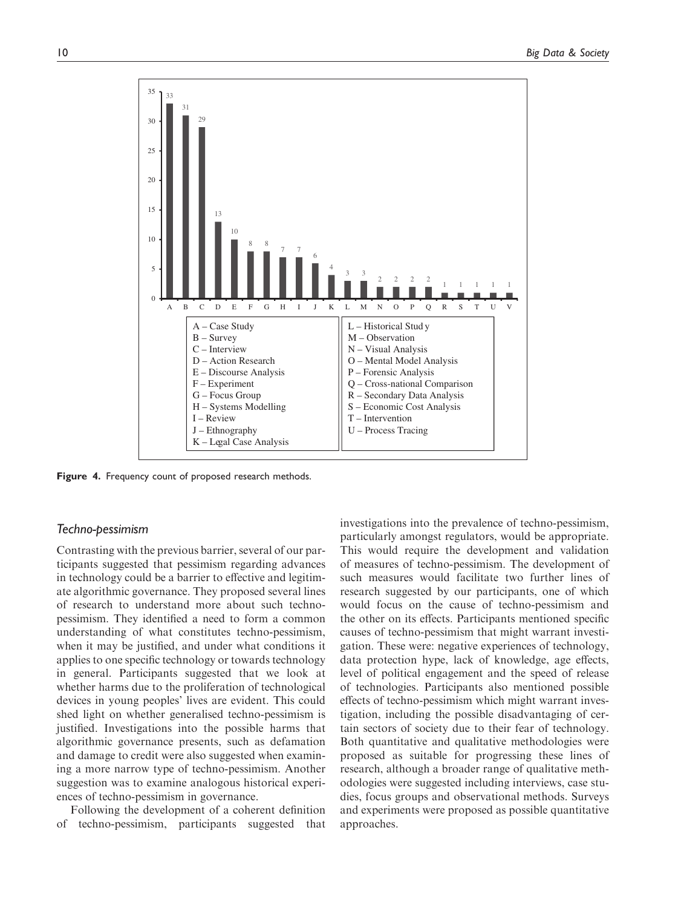

Figure 4. Frequency count of proposed research methods.

### Techno-pessimism

Contrasting with the previous barrier, several of our participants suggested that pessimism regarding advances in technology could be a barrier to effective and legitimate algorithmic governance. They proposed several lines of research to understand more about such technopessimism. They identified a need to form a common understanding of what constitutes techno-pessimism, when it may be justified, and under what conditions it applies to one specific technology or towards technology in general. Participants suggested that we look at whether harms due to the proliferation of technological devices in young peoples' lives are evident. This could shed light on whether generalised techno-pessimism is justified. Investigations into the possible harms that algorithmic governance presents, such as defamation and damage to credit were also suggested when examining a more narrow type of techno-pessimism. Another suggestion was to examine analogous historical experiences of techno-pessimism in governance.

Following the development of a coherent definition of techno-pessimism, participants suggested that

investigations into the prevalence of techno-pessimism, particularly amongst regulators, would be appropriate. This would require the development and validation of measures of techno-pessimism. The development of such measures would facilitate two further lines of research suggested by our participants, one of which would focus on the cause of techno-pessimism and the other on its effects. Participants mentioned specific causes of techno-pessimism that might warrant investigation. These were: negative experiences of technology, data protection hype, lack of knowledge, age effects, level of political engagement and the speed of release of technologies. Participants also mentioned possible effects of techno-pessimism which might warrant investigation, including the possible disadvantaging of certain sectors of society due to their fear of technology. Both quantitative and qualitative methodologies were proposed as suitable for progressing these lines of research, although a broader range of qualitative methodologies were suggested including interviews, case studies, focus groups and observational methods. Surveys and experiments were proposed as possible quantitative approaches.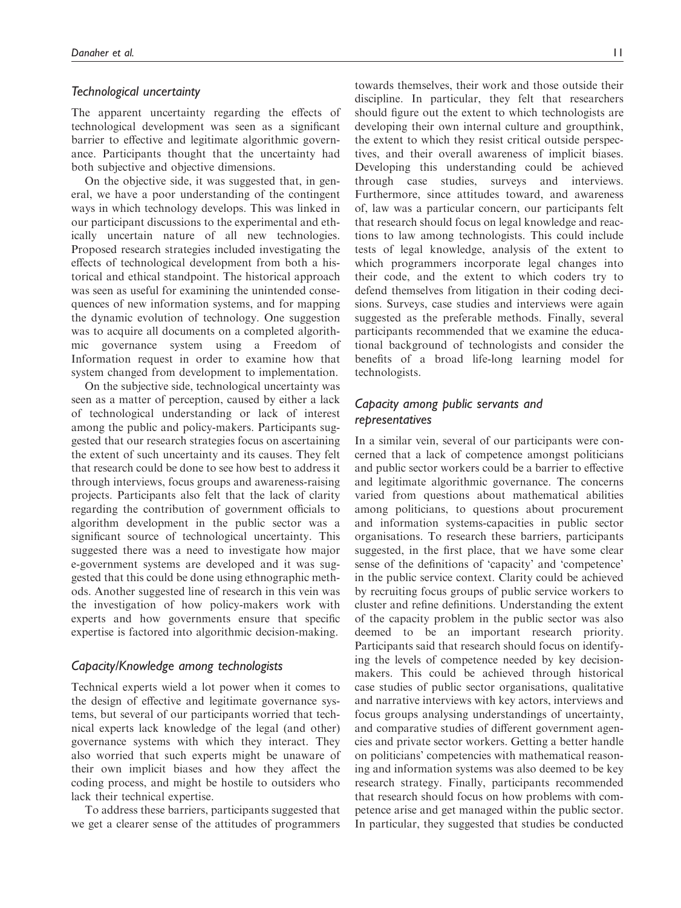# Technological uncertainty

The apparent uncertainty regarding the effects of technological development was seen as a significant barrier to effective and legitimate algorithmic governance. Participants thought that the uncertainty had both subjective and objective dimensions.

On the objective side, it was suggested that, in general, we have a poor understanding of the contingent ways in which technology develops. This was linked in our participant discussions to the experimental and ethically uncertain nature of all new technologies. Proposed research strategies included investigating the effects of technological development from both a historical and ethical standpoint. The historical approach was seen as useful for examining the unintended consequences of new information systems, and for mapping the dynamic evolution of technology. One suggestion was to acquire all documents on a completed algorithmic governance system using a Freedom of Information request in order to examine how that system changed from development to implementation.

On the subjective side, technological uncertainty was seen as a matter of perception, caused by either a lack of technological understanding or lack of interest among the public and policy-makers. Participants suggested that our research strategies focus on ascertaining the extent of such uncertainty and its causes. They felt that research could be done to see how best to address it through interviews, focus groups and awareness-raising projects. Participants also felt that the lack of clarity regarding the contribution of government officials to algorithm development in the public sector was a significant source of technological uncertainty. This suggested there was a need to investigate how major e-government systems are developed and it was suggested that this could be done using ethnographic methods. Another suggested line of research in this vein was the investigation of how policy-makers work with experts and how governments ensure that specific expertise is factored into algorithmic decision-making.

# Capacity/Knowledge among technologists

Technical experts wield a lot power when it comes to the design of effective and legitimate governance systems, but several of our participants worried that technical experts lack knowledge of the legal (and other) governance systems with which they interact. They also worried that such experts might be unaware of their own implicit biases and how they affect the coding process, and might be hostile to outsiders who lack their technical expertise.

To address these barriers, participants suggested that we get a clearer sense of the attitudes of programmers towards themselves, their work and those outside their discipline. In particular, they felt that researchers should figure out the extent to which technologists are developing their own internal culture and groupthink, the extent to which they resist critical outside perspectives, and their overall awareness of implicit biases. Developing this understanding could be achieved through case studies, surveys and interviews. Furthermore, since attitudes toward, and awareness of, law was a particular concern, our participants felt that research should focus on legal knowledge and reactions to law among technologists. This could include tests of legal knowledge, analysis of the extent to which programmers incorporate legal changes into their code, and the extent to which coders try to defend themselves from litigation in their coding decisions. Surveys, case studies and interviews were again suggested as the preferable methods. Finally, several participants recommended that we examine the educational background of technologists and consider the benefits of a broad life-long learning model for technologists.

# Capacity among public servants and representatives

In a similar vein, several of our participants were concerned that a lack of competence amongst politicians and public sector workers could be a barrier to effective and legitimate algorithmic governance. The concerns varied from questions about mathematical abilities among politicians, to questions about procurement and information systems-capacities in public sector organisations. To research these barriers, participants suggested, in the first place, that we have some clear sense of the definitions of 'capacity' and 'competence' in the public service context. Clarity could be achieved by recruiting focus groups of public service workers to cluster and refine definitions. Understanding the extent of the capacity problem in the public sector was also deemed to be an important research priority. Participants said that research should focus on identifying the levels of competence needed by key decisionmakers. This could be achieved through historical case studies of public sector organisations, qualitative and narrative interviews with key actors, interviews and focus groups analysing understandings of uncertainty, and comparative studies of different government agencies and private sector workers. Getting a better handle on politicians' competencies with mathematical reasoning and information systems was also deemed to be key research strategy. Finally, participants recommended that research should focus on how problems with competence arise and get managed within the public sector. In particular, they suggested that studies be conducted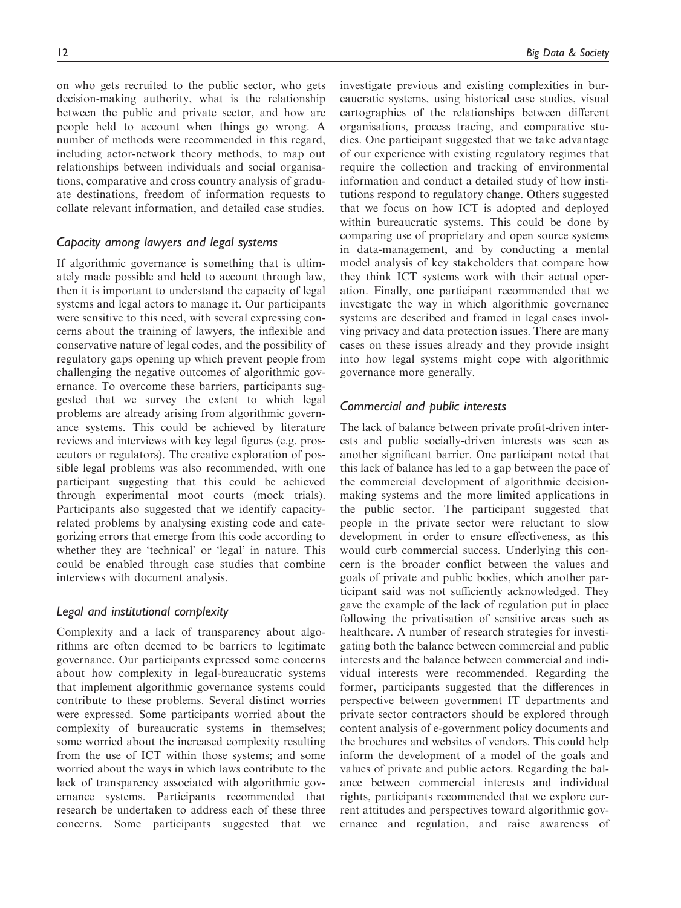on who gets recruited to the public sector, who gets decision-making authority, what is the relationship between the public and private sector, and how are people held to account when things go wrong. A number of methods were recommended in this regard, including actor-network theory methods, to map out relationships between individuals and social organisations, comparative and cross country analysis of graduate destinations, freedom of information requests to collate relevant information, and detailed case studies.

### Capacity among lawyers and legal systems

If algorithmic governance is something that is ultimately made possible and held to account through law, then it is important to understand the capacity of legal systems and legal actors to manage it. Our participants were sensitive to this need, with several expressing concerns about the training of lawyers, the inflexible and conservative nature of legal codes, and the possibility of regulatory gaps opening up which prevent people from challenging the negative outcomes of algorithmic governance. To overcome these barriers, participants suggested that we survey the extent to which legal problems are already arising from algorithmic governance systems. This could be achieved by literature reviews and interviews with key legal figures (e.g. prosecutors or regulators). The creative exploration of possible legal problems was also recommended, with one participant suggesting that this could be achieved through experimental moot courts (mock trials). Participants also suggested that we identify capacityrelated problems by analysing existing code and categorizing errors that emerge from this code according to whether they are 'technical' or 'legal' in nature. This could be enabled through case studies that combine interviews with document analysis.

### Legal and institutional complexity

Complexity and a lack of transparency about algorithms are often deemed to be barriers to legitimate governance. Our participants expressed some concerns about how complexity in legal-bureaucratic systems that implement algorithmic governance systems could contribute to these problems. Several distinct worries were expressed. Some participants worried about the complexity of bureaucratic systems in themselves; some worried about the increased complexity resulting from the use of ICT within those systems; and some worried about the ways in which laws contribute to the lack of transparency associated with algorithmic governance systems. Participants recommended that research be undertaken to address each of these three concerns. Some participants suggested that we investigate previous and existing complexities in bureaucratic systems, using historical case studies, visual cartographies of the relationships between different organisations, process tracing, and comparative studies. One participant suggested that we take advantage of our experience with existing regulatory regimes that require the collection and tracking of environmental information and conduct a detailed study of how institutions respond to regulatory change. Others suggested that we focus on how ICT is adopted and deployed within bureaucratic systems. This could be done by comparing use of proprietary and open source systems in data-management, and by conducting a mental model analysis of key stakeholders that compare how they think ICT systems work with their actual operation. Finally, one participant recommended that we investigate the way in which algorithmic governance systems are described and framed in legal cases involving privacy and data protection issues. There are many cases on these issues already and they provide insight into how legal systems might cope with algorithmic governance more generally.

### Commercial and public interests

The lack of balance between private profit-driven interests and public socially-driven interests was seen as another significant barrier. One participant noted that this lack of balance has led to a gap between the pace of the commercial development of algorithmic decisionmaking systems and the more limited applications in the public sector. The participant suggested that people in the private sector were reluctant to slow development in order to ensure effectiveness, as this would curb commercial success. Underlying this concern is the broader conflict between the values and goals of private and public bodies, which another participant said was not sufficiently acknowledged. They gave the example of the lack of regulation put in place following the privatisation of sensitive areas such as healthcare. A number of research strategies for investigating both the balance between commercial and public interests and the balance between commercial and individual interests were recommended. Regarding the former, participants suggested that the differences in perspective between government IT departments and private sector contractors should be explored through content analysis of e-government policy documents and the brochures and websites of vendors. This could help inform the development of a model of the goals and values of private and public actors. Regarding the balance between commercial interests and individual rights, participants recommended that we explore current attitudes and perspectives toward algorithmic governance and regulation, and raise awareness of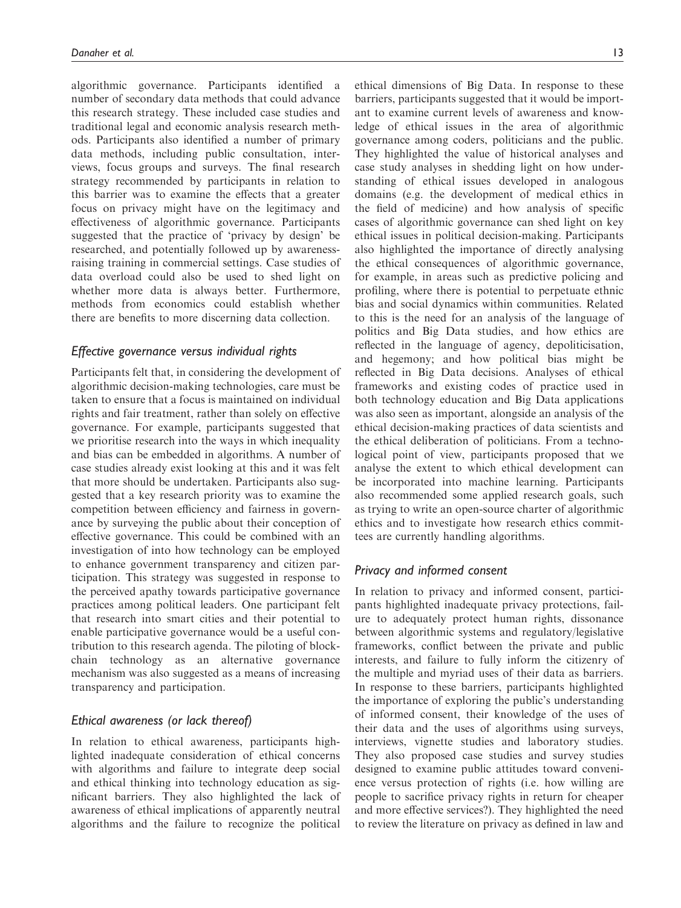algorithmic governance. Participants identified a number of secondary data methods that could advance this research strategy. These included case studies and traditional legal and economic analysis research methods. Participants also identified a number of primary data methods, including public consultation, interviews, focus groups and surveys. The final research strategy recommended by participants in relation to this barrier was to examine the effects that a greater focus on privacy might have on the legitimacy and effectiveness of algorithmic governance. Participants suggested that the practice of 'privacy by design' be researched, and potentially followed up by awarenessraising training in commercial settings. Case studies of data overload could also be used to shed light on whether more data is always better. Furthermore, methods from economics could establish whether there are benefits to more discerning data collection.

### Effective governance versus individual rights

Participants felt that, in considering the development of algorithmic decision-making technologies, care must be taken to ensure that a focus is maintained on individual rights and fair treatment, rather than solely on effective governance. For example, participants suggested that we prioritise research into the ways in which inequality and bias can be embedded in algorithms. A number of case studies already exist looking at this and it was felt that more should be undertaken. Participants also suggested that a key research priority was to examine the competition between efficiency and fairness in governance by surveying the public about their conception of effective governance. This could be combined with an investigation of into how technology can be employed to enhance government transparency and citizen participation. This strategy was suggested in response to the perceived apathy towards participative governance practices among political leaders. One participant felt that research into smart cities and their potential to enable participative governance would be a useful contribution to this research agenda. The piloting of blockchain technology as an alternative governance mechanism was also suggested as a means of increasing transparency and participation.

# Ethical awareness (or lack thereof)

In relation to ethical awareness, participants highlighted inadequate consideration of ethical concerns with algorithms and failure to integrate deep social and ethical thinking into technology education as significant barriers. They also highlighted the lack of awareness of ethical implications of apparently neutral algorithms and the failure to recognize the political ethical dimensions of Big Data. In response to these barriers, participants suggested that it would be important to examine current levels of awareness and knowledge of ethical issues in the area of algorithmic governance among coders, politicians and the public. They highlighted the value of historical analyses and case study analyses in shedding light on how understanding of ethical issues developed in analogous domains (e.g. the development of medical ethics in the field of medicine) and how analysis of specific cases of algorithmic governance can shed light on key ethical issues in political decision-making. Participants also highlighted the importance of directly analysing the ethical consequences of algorithmic governance, for example, in areas such as predictive policing and profiling, where there is potential to perpetuate ethnic bias and social dynamics within communities. Related to this is the need for an analysis of the language of politics and Big Data studies, and how ethics are reflected in the language of agency, depoliticisation, and hegemony; and how political bias might be reflected in Big Data decisions. Analyses of ethical frameworks and existing codes of practice used in both technology education and Big Data applications was also seen as important, alongside an analysis of the ethical decision-making practices of data scientists and the ethical deliberation of politicians. From a technological point of view, participants proposed that we analyse the extent to which ethical development can be incorporated into machine learning. Participants also recommended some applied research goals, such as trying to write an open-source charter of algorithmic ethics and to investigate how research ethics committees are currently handling algorithms.

### Privacy and informed consent

In relation to privacy and informed consent, participants highlighted inadequate privacy protections, failure to adequately protect human rights, dissonance between algorithmic systems and regulatory/legislative frameworks, conflict between the private and public interests, and failure to fully inform the citizenry of the multiple and myriad uses of their data as barriers. In response to these barriers, participants highlighted the importance of exploring the public's understanding of informed consent, their knowledge of the uses of their data and the uses of algorithms using surveys, interviews, vignette studies and laboratory studies. They also proposed case studies and survey studies designed to examine public attitudes toward convenience versus protection of rights (i.e. how willing are people to sacrifice privacy rights in return for cheaper and more effective services?). They highlighted the need to review the literature on privacy as defined in law and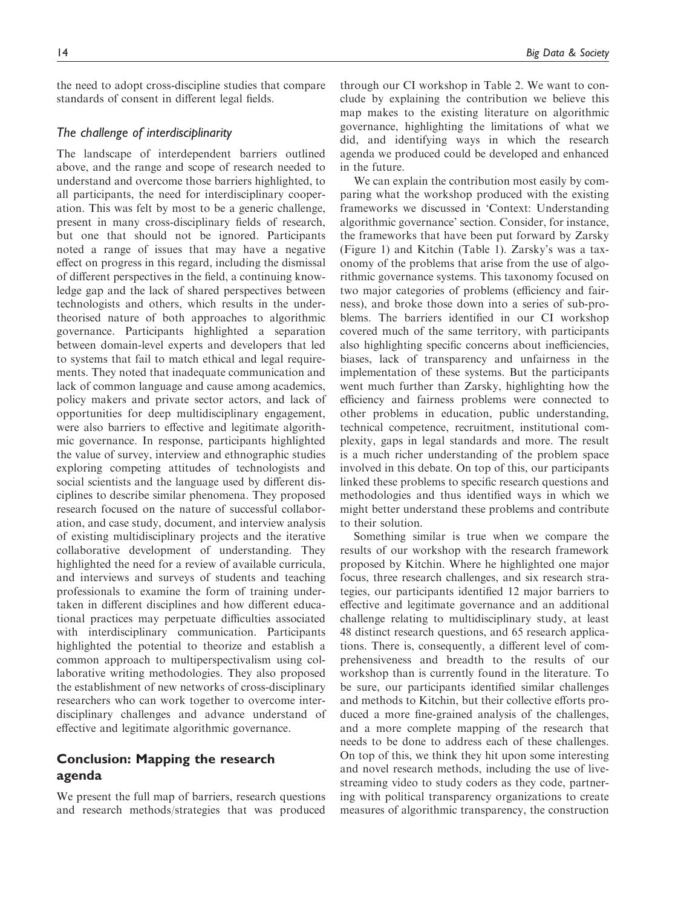the need to adopt cross-discipline studies that compare standards of consent in different legal fields.

# The challenge of interdisciplinarity

The landscape of interdependent barriers outlined above, and the range and scope of research needed to understand and overcome those barriers highlighted, to all participants, the need for interdisciplinary cooperation. This was felt by most to be a generic challenge, present in many cross-disciplinary fields of research, but one that should not be ignored. Participants noted a range of issues that may have a negative effect on progress in this regard, including the dismissal of different perspectives in the field, a continuing knowledge gap and the lack of shared perspectives between technologists and others, which results in the undertheorised nature of both approaches to algorithmic governance. Participants highlighted a separation between domain-level experts and developers that led to systems that fail to match ethical and legal requirements. They noted that inadequate communication and lack of common language and cause among academics, policy makers and private sector actors, and lack of opportunities for deep multidisciplinary engagement, were also barriers to effective and legitimate algorithmic governance. In response, participants highlighted the value of survey, interview and ethnographic studies exploring competing attitudes of technologists and social scientists and the language used by different disciplines to describe similar phenomena. They proposed research focused on the nature of successful collaboration, and case study, document, and interview analysis of existing multidisciplinary projects and the iterative collaborative development of understanding. They highlighted the need for a review of available curricula, and interviews and surveys of students and teaching professionals to examine the form of training undertaken in different disciplines and how different educational practices may perpetuate difficulties associated with interdisciplinary communication. Participants highlighted the potential to theorize and establish a common approach to multiperspectivalism using collaborative writing methodologies. They also proposed the establishment of new networks of cross-disciplinary researchers who can work together to overcome interdisciplinary challenges and advance understand of effective and legitimate algorithmic governance.

# Conclusion: Mapping the research agenda

We present the full map of barriers, research questions and research methods/strategies that was produced

through our CI workshop in Table 2. We want to conclude by explaining the contribution we believe this map makes to the existing literature on algorithmic governance, highlighting the limitations of what we did, and identifying ways in which the research agenda we produced could be developed and enhanced in the future.

We can explain the contribution most easily by comparing what the workshop produced with the existing frameworks we discussed in 'Context: Understanding algorithmic governance' section. Consider, for instance, the frameworks that have been put forward by Zarsky (Figure 1) and Kitchin (Table 1). Zarsky's was a taxonomy of the problems that arise from the use of algorithmic governance systems. This taxonomy focused on two major categories of problems (efficiency and fairness), and broke those down into a series of sub-problems. The barriers identified in our CI workshop covered much of the same territory, with participants also highlighting specific concerns about inefficiencies, biases, lack of transparency and unfairness in the implementation of these systems. But the participants went much further than Zarsky, highlighting how the efficiency and fairness problems were connected to other problems in education, public understanding, technical competence, recruitment, institutional complexity, gaps in legal standards and more. The result is a much richer understanding of the problem space involved in this debate. On top of this, our participants linked these problems to specific research questions and methodologies and thus identified ways in which we might better understand these problems and contribute to their solution.

Something similar is true when we compare the results of our workshop with the research framework proposed by Kitchin. Where he highlighted one major focus, three research challenges, and six research strategies, our participants identified 12 major barriers to effective and legitimate governance and an additional challenge relating to multidisciplinary study, at least 48 distinct research questions, and 65 research applications. There is, consequently, a different level of comprehensiveness and breadth to the results of our workshop than is currently found in the literature. To be sure, our participants identified similar challenges and methods to Kitchin, but their collective efforts produced a more fine-grained analysis of the challenges, and a more complete mapping of the research that needs to be done to address each of these challenges. On top of this, we think they hit upon some interesting and novel research methods, including the use of livestreaming video to study coders as they code, partnering with political transparency organizations to create measures of algorithmic transparency, the construction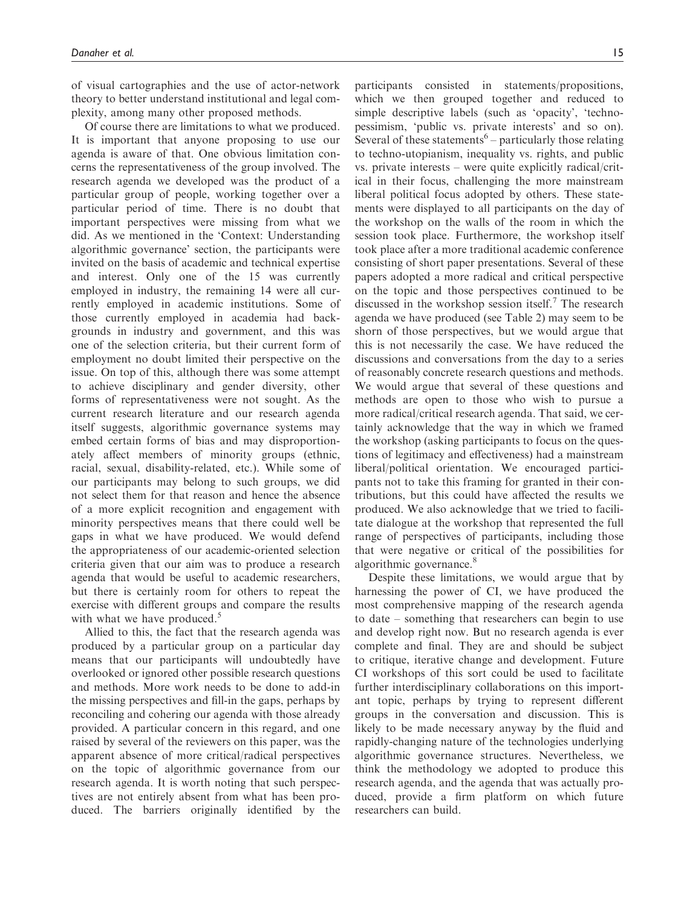of visual cartographies and the use of actor-network theory to better understand institutional and legal complexity, among many other proposed methods.

Of course there are limitations to what we produced. It is important that anyone proposing to use our agenda is aware of that. One obvious limitation concerns the representativeness of the group involved. The research agenda we developed was the product of a particular group of people, working together over a particular period of time. There is no doubt that important perspectives were missing from what we did. As we mentioned in the 'Context: Understanding algorithmic governance' section, the participants were invited on the basis of academic and technical expertise and interest. Only one of the 15 was currently employed in industry, the remaining 14 were all currently employed in academic institutions. Some of those currently employed in academia had backgrounds in industry and government, and this was one of the selection criteria, but their current form of employment no doubt limited their perspective on the issue. On top of this, although there was some attempt to achieve disciplinary and gender diversity, other forms of representativeness were not sought. As the current research literature and our research agenda itself suggests, algorithmic governance systems may embed certain forms of bias and may disproportionately affect members of minority groups (ethnic, racial, sexual, disability-related, etc.). While some of our participants may belong to such groups, we did not select them for that reason and hence the absence of a more explicit recognition and engagement with minority perspectives means that there could well be gaps in what we have produced. We would defend the appropriateness of our academic-oriented selection criteria given that our aim was to produce a research agenda that would be useful to academic researchers, but there is certainly room for others to repeat the exercise with different groups and compare the results with what we have produced.<sup>5</sup>

Allied to this, the fact that the research agenda was produced by a particular group on a particular day means that our participants will undoubtedly have overlooked or ignored other possible research questions and methods. More work needs to be done to add-in the missing perspectives and fill-in the gaps, perhaps by reconciling and cohering our agenda with those already provided. A particular concern in this regard, and one raised by several of the reviewers on this paper, was the apparent absence of more critical/radical perspectives on the topic of algorithmic governance from our research agenda. It is worth noting that such perspectives are not entirely absent from what has been produced. The barriers originally identified by the participants consisted in statements/propositions, which we then grouped together and reduced to simple descriptive labels (such as 'opacity', 'technopessimism, 'public vs. private interests' and so on). Several of these statements<sup>6</sup> – particularly those relating to techno-utopianism, inequality vs. rights, and public vs. private interests – were quite explicitly radical/critical in their focus, challenging the more mainstream liberal political focus adopted by others. These statements were displayed to all participants on the day of the workshop on the walls of the room in which the session took place. Furthermore, the workshop itself took place after a more traditional academic conference consisting of short paper presentations. Several of these papers adopted a more radical and critical perspective on the topic and those perspectives continued to be discussed in the workshop session itself.<sup>7</sup> The research agenda we have produced (see Table 2) may seem to be shorn of those perspectives, but we would argue that this is not necessarily the case. We have reduced the discussions and conversations from the day to a series of reasonably concrete research questions and methods. We would argue that several of these questions and methods are open to those who wish to pursue a more radical/critical research agenda. That said, we certainly acknowledge that the way in which we framed the workshop (asking participants to focus on the questions of legitimacy and effectiveness) had a mainstream liberal/political orientation. We encouraged participants not to take this framing for granted in their contributions, but this could have affected the results we produced. We also acknowledge that we tried to facilitate dialogue at the workshop that represented the full range of perspectives of participants, including those that were negative or critical of the possibilities for algorithmic governance.<sup>8</sup>

Despite these limitations, we would argue that by harnessing the power of CI, we have produced the most comprehensive mapping of the research agenda to date – something that researchers can begin to use and develop right now. But no research agenda is ever complete and final. They are and should be subject to critique, iterative change and development. Future CI workshops of this sort could be used to facilitate further interdisciplinary collaborations on this important topic, perhaps by trying to represent different groups in the conversation and discussion. This is likely to be made necessary anyway by the fluid and rapidly-changing nature of the technologies underlying algorithmic governance structures. Nevertheless, we think the methodology we adopted to produce this research agenda, and the agenda that was actually produced, provide a firm platform on which future researchers can build.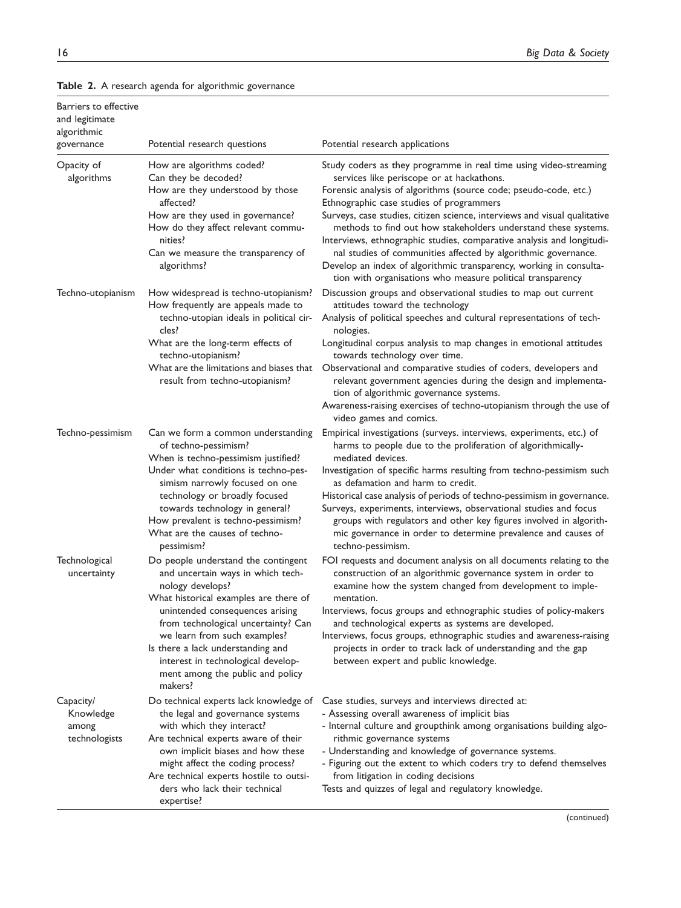| and legitimate<br>algorithmic<br>governance      | Potential research questions                                                                                                                                                                                                                                                                                                                                              | Potential research applications                                                                                                                                                                                                                                                                                                                                                                                                                                                                                                                                                                                                                              |
|--------------------------------------------------|---------------------------------------------------------------------------------------------------------------------------------------------------------------------------------------------------------------------------------------------------------------------------------------------------------------------------------------------------------------------------|--------------------------------------------------------------------------------------------------------------------------------------------------------------------------------------------------------------------------------------------------------------------------------------------------------------------------------------------------------------------------------------------------------------------------------------------------------------------------------------------------------------------------------------------------------------------------------------------------------------------------------------------------------------|
| Opacity of<br>algorithms                         | How are algorithms coded?<br>Can they be decoded?<br>How are they understood by those<br>affected?<br>How are they used in governance?<br>How do they affect relevant commu-<br>nities?<br>Can we measure the transparency of<br>algorithms?                                                                                                                              | Study coders as they programme in real time using video-streaming<br>services like periscope or at hackathons.<br>Forensic analysis of algorithms (source code; pseudo-code, etc.)<br>Ethnographic case studies of programmers<br>Surveys, case studies, citizen science, interviews and visual qualitative<br>methods to find out how stakeholders understand these systems.<br>Interviews, ethnographic studies, comparative analysis and longitudi-<br>nal studies of communities affected by algorithmic governance.<br>Develop an index of algorithmic transparency, working in consulta-<br>tion with organisations who measure political transparency |
| Techno-utopianism                                | How widespread is techno-utopianism?<br>How frequently are appeals made to<br>techno-utopian ideals in political cir-<br>cles?<br>What are the long-term effects of<br>techno-utopianism?<br>What are the limitations and biases that<br>result from techno-utopianism?                                                                                                   | Discussion groups and observational studies to map out current<br>attitudes toward the technology<br>Analysis of political speeches and cultural representations of tech-<br>nologies.<br>Longitudinal corpus analysis to map changes in emotional attitudes<br>towards technology over time.<br>Observational and comparative studies of coders, developers and<br>relevant government agencies during the design and implementa-<br>tion of algorithmic governance systems.<br>Awareness-raising exercises of techno-utopianism through the use of<br>video games and comics.                                                                              |
| Techno-pessimism                                 | Can we form a common understanding<br>of techno-pessimism?<br>When is techno-pessimism justified?<br>Under what conditions is techno-pes-<br>simism narrowly focused on one<br>technology or broadly focused<br>towards technology in general?<br>How prevalent is techno-pessimism?<br>What are the causes of techno-<br>pessimism?                                      | Empirical investigations (surveys. interviews, experiments, etc.) of<br>harms to people due to the proliferation of algorithmically-<br>mediated devices.<br>Investigation of specific harms resulting from techno-pessimism such<br>as defamation and harm to credit.<br>Historical case analysis of periods of techno-pessimism in governance.<br>Surveys, experiments, interviews, observational studies and focus<br>groups with regulators and other key figures involved in algorith-<br>mic governance in order to determine prevalence and causes of<br>techno-pessimism.                                                                            |
| Technological<br>uncertainty                     | Do people understand the contingent<br>and uncertain ways in which tech-<br>nology develops?<br>What historical examples are there of<br>unintended consequences arising<br>from technological uncertainty? Can<br>we learn from such examples?<br>Is there a lack understanding and<br>interest in technological develop-<br>ment among the public and policy<br>makers? | FOI requests and document analysis on all documents relating to the<br>construction of an algorithmic governance system in order to<br>examine how the system changed from development to imple-<br>mentation.<br>Interviews, focus groups and ethnographic studies of policy-makers<br>and technological experts as systems are developed.<br>Interviews, focus groups, ethnographic studies and awareness-raising<br>projects in order to track lack of understanding and the gap<br>between expert and public knowledge.                                                                                                                                  |
| Capacity/<br>Knowledge<br>among<br>technologists | Do technical experts lack knowledge of<br>the legal and governance systems<br>with which they interact?<br>Are technical experts aware of their<br>own implicit biases and how these<br>might affect the coding process?                                                                                                                                                  | Case studies, surveys and interviews directed at:<br>- Assessing overall awareness of implicit bias<br>- Internal culture and groupthink among organisations building algo-<br>rithmic governance systems<br>- Understanding and knowledge of governance systems.<br>- Figuring out the extent to which coders try to defend themselves                                                                                                                                                                                                                                                                                                                      |

Are technical experts hostile to outsiders who lack their technical

expertise?

### Table 2. A research agenda for algorithmic governance

Tests and quizzes of legal and regulatory knowledge.

from litigation in coding decisions

Barriers to effective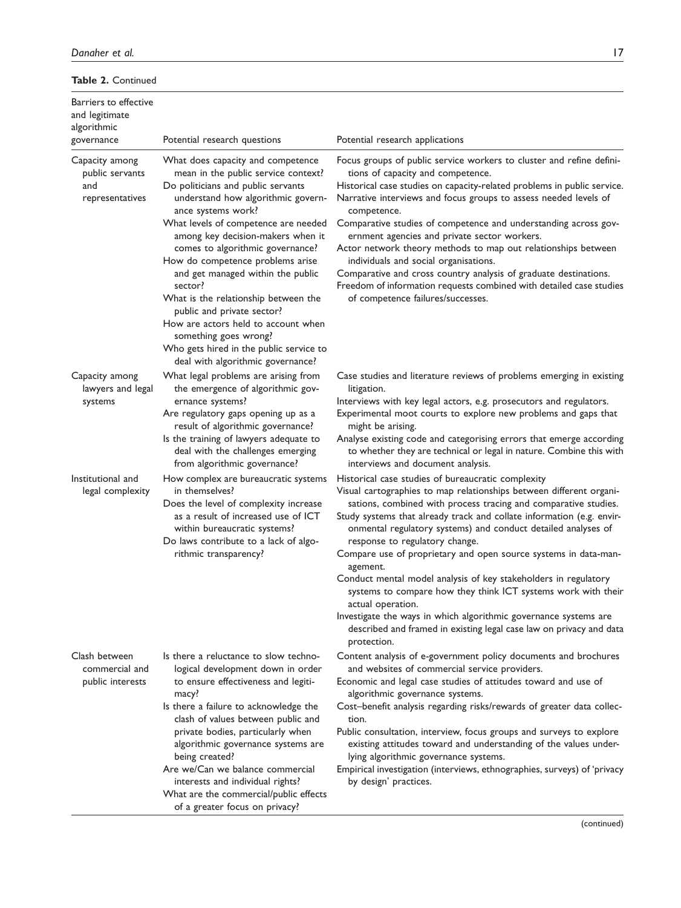### Table 2. Continued

| Barriers to effective<br>and legitimate<br>algorithmic      |                                                                                                                                                                                                                                                                                                                                                                                                                                                                                                                                                                                                       |                                                                                                                                                                                                                                                                                                                                                                                                                                                                                                                                                                                                                                                                                                                                                                            |
|-------------------------------------------------------------|-------------------------------------------------------------------------------------------------------------------------------------------------------------------------------------------------------------------------------------------------------------------------------------------------------------------------------------------------------------------------------------------------------------------------------------------------------------------------------------------------------------------------------------------------------------------------------------------------------|----------------------------------------------------------------------------------------------------------------------------------------------------------------------------------------------------------------------------------------------------------------------------------------------------------------------------------------------------------------------------------------------------------------------------------------------------------------------------------------------------------------------------------------------------------------------------------------------------------------------------------------------------------------------------------------------------------------------------------------------------------------------------|
| governance                                                  | Potential research questions                                                                                                                                                                                                                                                                                                                                                                                                                                                                                                                                                                          | Potential research applications                                                                                                                                                                                                                                                                                                                                                                                                                                                                                                                                                                                                                                                                                                                                            |
| Capacity among<br>public servants<br>and<br>representatives | What does capacity and competence<br>mean in the public service context?<br>Do politicians and public servants<br>understand how algorithmic govern-<br>ance systems work?<br>What levels of competence are needed<br>among key decision-makers when it<br>comes to algorithmic governance?<br>How do competence problems arise<br>and get managed within the public<br>sector?<br>What is the relationship between the<br>public and private sector?<br>How are actors held to account when<br>something goes wrong?<br>Who gets hired in the public service to<br>deal with algorithmic governance? | Focus groups of public service workers to cluster and refine defini-<br>tions of capacity and competence.<br>Historical case studies on capacity-related problems in public service.<br>Narrative interviews and focus groups to assess needed levels of<br>competence.<br>Comparative studies of competence and understanding across gov-<br>ernment agencies and private sector workers.<br>Actor network theory methods to map out relationships between<br>individuals and social organisations.<br>Comparative and cross country analysis of graduate destinations.<br>Freedom of information requests combined with detailed case studies<br>of competence failures/successes.                                                                                       |
| Capacity among<br>lawyers and legal<br>systems              | What legal problems are arising from<br>the emergence of algorithmic gov-<br>ernance systems?<br>Are regulatory gaps opening up as a<br>result of algorithmic governance?<br>Is the training of lawyers adequate to<br>deal with the challenges emerging<br>from algorithmic governance?                                                                                                                                                                                                                                                                                                              | Case studies and literature reviews of problems emerging in existing<br>litigation.<br>Interviews with key legal actors, e.g. prosecutors and regulators.<br>Experimental moot courts to explore new problems and gaps that<br>might be arising.<br>Analyse existing code and categorising errors that emerge according<br>to whether they are technical or legal in nature. Combine this with<br>interviews and document analysis.                                                                                                                                                                                                                                                                                                                                        |
| Institutional and<br>legal complexity                       | How complex are bureaucratic systems<br>in themselves?<br>Does the level of complexity increase<br>as a result of increased use of ICT<br>within bureaucratic systems?<br>Do laws contribute to a lack of algo-<br>rithmic transparency?                                                                                                                                                                                                                                                                                                                                                              | Historical case studies of bureaucratic complexity<br>Visual cartographies to map relationships between different organi-<br>sations, combined with process tracing and comparative studies.<br>Study systems that already track and collate information (e.g. envir-<br>onmental regulatory systems) and conduct detailed analyses of<br>response to regulatory change.<br>Compare use of proprietary and open source systems in data-man-<br>agement.<br>Conduct mental model analysis of key stakeholders in regulatory<br>systems to compare how they think ICT systems work with their<br>actual operation.<br>Investigate the ways in which algorithmic governance systems are<br>described and framed in existing legal case law on privacy and data<br>protection. |
| Clash between<br>commercial and<br>public interests         | Is there a reluctance to slow techno-<br>logical development down in order<br>to ensure effectiveness and legiti-<br>macy?<br>Is there a failure to acknowledge the<br>clash of values between public and<br>private bodies, particularly when<br>algorithmic governance systems are<br>being created?<br>Are we/Can we balance commercial<br>interests and individual rights?<br>What are the commercial/public effects<br>of a greater focus on privacy?                                                                                                                                            | Content analysis of e-government policy documents and brochures<br>and websites of commercial service providers.<br>Economic and legal case studies of attitudes toward and use of<br>algorithmic governance systems.<br>Cost-benefit analysis regarding risks/rewards of greater data collec-<br>tion.<br>Public consultation, interview, focus groups and surveys to explore<br>existing attitudes toward and understanding of the values under-<br>lying algorithmic governance systems.<br>Empirical investigation (interviews, ethnographies, surveys) of 'privacy<br>by design' practices.                                                                                                                                                                           |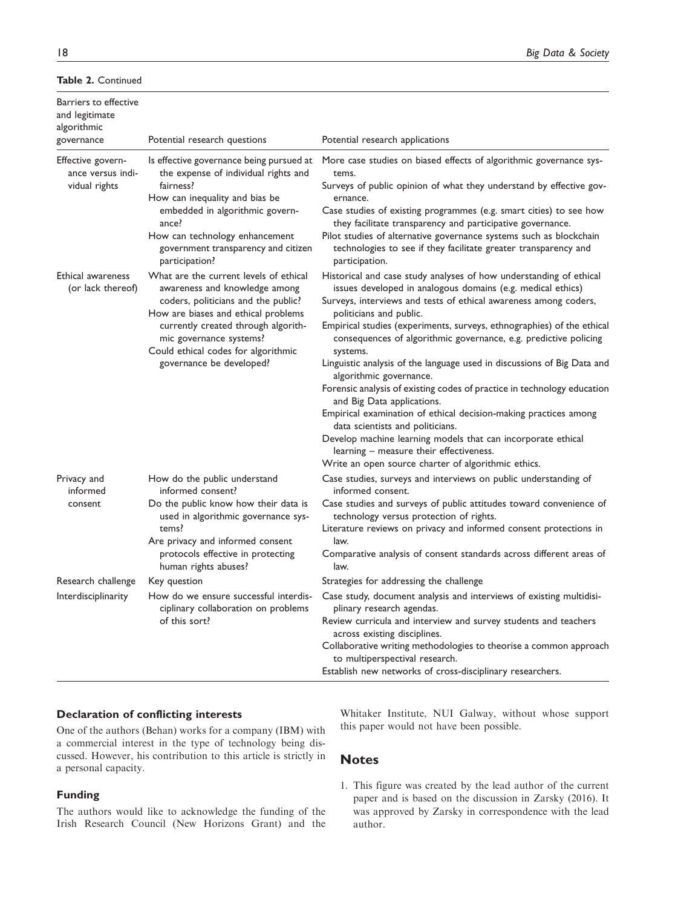# Table 2. Continued

| Barriers to effective<br>and legitimate<br>algorithmic  |                                                                                                                                                       |                                                                                                                                                                                                                                                                                                                                                                         |  |
|---------------------------------------------------------|-------------------------------------------------------------------------------------------------------------------------------------------------------|-------------------------------------------------------------------------------------------------------------------------------------------------------------------------------------------------------------------------------------------------------------------------------------------------------------------------------------------------------------------------|--|
| governance                                              | Potential research questions                                                                                                                          | Potential research applications                                                                                                                                                                                                                                                                                                                                         |  |
| Effective govern-<br>ance versus indi-<br>vidual rights | Is effective governance being pursued at<br>the expense of individual rights and<br>fairness?                                                         | More case studies on biased effects of algorithmic governance sys-<br>tems.<br>Surveys of public opinion of what they understand by effective gov-                                                                                                                                                                                                                      |  |
|                                                         | How can inequality and bias be<br>embedded in algorithmic govern-<br>ance?                                                                            | ernance.<br>Case studies of existing programmes (e.g. smart cities) to see how<br>they facilitate transparency and participative governance.                                                                                                                                                                                                                            |  |
|                                                         | How can technology enhancement<br>government transparency and citizen<br>participation?                                                               | Pilot studies of alternative governance systems such as blockchain<br>technologies to see if they facilitate greater transparency and<br>participation.                                                                                                                                                                                                                 |  |
| Ethical awareness<br>(or lack thereof)                  | What are the current levels of ethical<br>awareness and knowledge among<br>coders, politicians and the public?<br>How are biases and ethical problems | Historical and case study analyses of how understanding of ethical<br>issues developed in analogous domains (e.g. medical ethics)<br>Surveys, interviews and tests of ethical awareness among coders,<br>politicians and public.                                                                                                                                        |  |
|                                                         | currently created through algorith-<br>mic governance systems?<br>Could ethical codes for algorithmic                                                 | Empirical studies (experiments, surveys, ethnographies) of the ethical<br>consequences of algorithmic governance, e.g. predictive policing<br>systems.                                                                                                                                                                                                                  |  |
|                                                         | governance be developed?                                                                                                                              | Linguistic analysis of the language used in discussions of Big Data and<br>algorithmic governance.<br>Forensic analysis of existing codes of practice in technology education                                                                                                                                                                                           |  |
|                                                         |                                                                                                                                                       | and Big Data applications.<br>Empirical examination of ethical decision-making practices among<br>data scientists and politicians.                                                                                                                                                                                                                                      |  |
|                                                         |                                                                                                                                                       | Develop machine learning models that can incorporate ethical<br>learning - measure their effectiveness.<br>Write an open source charter of algorithmic ethics.                                                                                                                                                                                                          |  |
| Privacy and<br>informed                                 | How do the public understand<br>informed consent?                                                                                                     | Case studies, surveys and interviews on public understanding of<br>informed consent.                                                                                                                                                                                                                                                                                    |  |
| consent                                                 | Do the public know how their data is<br>used in algorithmic governance sys-                                                                           | Case studies and surveys of public attitudes toward convenience of<br>technology versus protection of rights.                                                                                                                                                                                                                                                           |  |
|                                                         | tems?<br>Are privacy and informed consent                                                                                                             | Literature reviews on privacy and informed consent protections in<br>law.                                                                                                                                                                                                                                                                                               |  |
|                                                         | protocols effective in protecting<br>human rights abuses?                                                                                             | Comparative analysis of consent standards across different areas of<br>law.                                                                                                                                                                                                                                                                                             |  |
| Research challenge                                      | Key question                                                                                                                                          | Strategies for addressing the challenge                                                                                                                                                                                                                                                                                                                                 |  |
| Interdisciplinarity                                     | How do we ensure successful interdis-<br>ciplinary collaboration on problems<br>of this sort?                                                         | Case study, document analysis and interviews of existing multidisi-<br>plinary research agendas.<br>Review curricula and interview and survey students and teachers<br>across existing disciplines.<br>Collaborative writing methodologies to theorise a common approach<br>to multiperspectival research.<br>Establish new networks of cross-disciplinary researchers. |  |

# Declaration of conflicting interests

One of the authors (Behan) works for a company (IBM) with a commercial interest in the type of technology being discussed. However, his contribution to this article is strictly in a personal capacity.

### Funding

The authors would like to acknowledge the funding of the Irish Research Council (New Horizons Grant) and the Whitaker Institute, NUI Galway, without whose support this paper would not have been possible.

# **Notes**

1. This figure was created by the lead author of the current paper and is based on the discussion in Zarsky (2016). It was approved by Zarsky in correspondence with the lead author.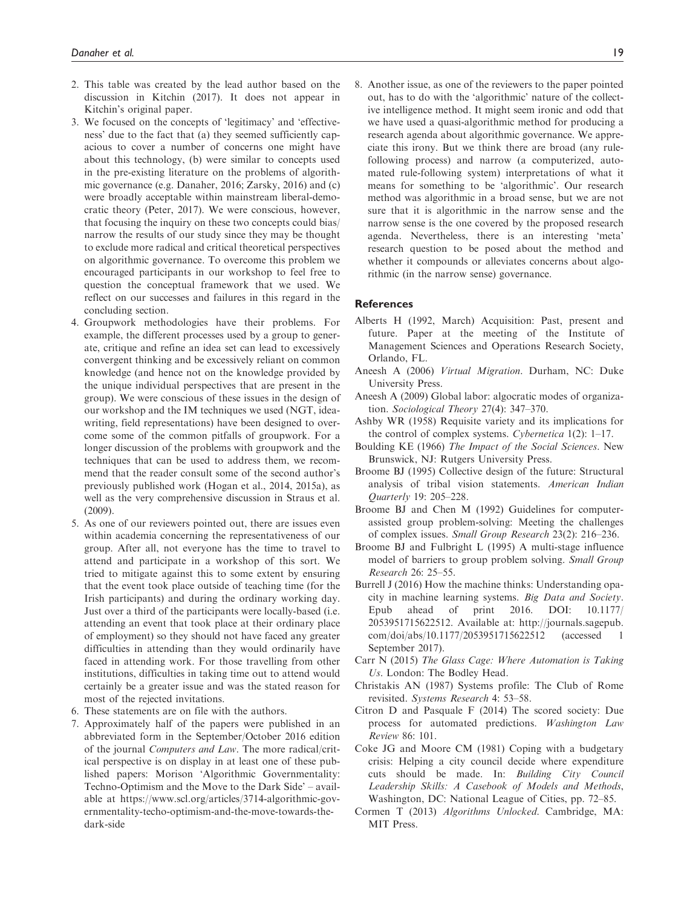- 2. This table was created by the lead author based on the discussion in Kitchin (2017). It does not appear in Kitchin's original paper.
- 3. We focused on the concepts of 'legitimacy' and 'effectiveness' due to the fact that (a) they seemed sufficiently capacious to cover a number of concerns one might have about this technology, (b) were similar to concepts used in the pre-existing literature on the problems of algorithmic governance (e.g. Danaher, 2016; Zarsky, 2016) and (c) were broadly acceptable within mainstream liberal-democratic theory (Peter, 2017). We were conscious, however, that focusing the inquiry on these two concepts could bias/ narrow the results of our study since they may be thought to exclude more radical and critical theoretical perspectives on algorithmic governance. To overcome this problem we encouraged participants in our workshop to feel free to question the conceptual framework that we used. We reflect on our successes and failures in this regard in the concluding section.
- 4. Groupwork methodologies have their problems. For example, the different processes used by a group to generate, critique and refine an idea set can lead to excessively convergent thinking and be excessively reliant on common knowledge (and hence not on the knowledge provided by the unique individual perspectives that are present in the group). We were conscious of these issues in the design of our workshop and the IM techniques we used (NGT, ideawriting, field representations) have been designed to overcome some of the common pitfalls of groupwork. For a longer discussion of the problems with groupwork and the techniques that can be used to address them, we recommend that the reader consult some of the second author's previously published work (Hogan et al., 2014, 2015a), as well as the very comprehensive discussion in Straus et al. (2009).
- 5. As one of our reviewers pointed out, there are issues even within academia concerning the representativeness of our group. After all, not everyone has the time to travel to attend and participate in a workshop of this sort. We tried to mitigate against this to some extent by ensuring that the event took place outside of teaching time (for the Irish participants) and during the ordinary working day. Just over a third of the participants were locally-based (i.e. attending an event that took place at their ordinary place of employment) so they should not have faced any greater difficulties in attending than they would ordinarily have faced in attending work. For those travelling from other institutions, difficulties in taking time out to attend would certainly be a greater issue and was the stated reason for most of the rejected invitations.
- 6. These statements are on file with the authors.
- 7. Approximately half of the papers were published in an abbreviated form in the September/October 2016 edition of the journal Computers and Law. The more radical/critical perspective is on display in at least one of these published papers: Morison 'Algorithmic Governmentality: Techno-Optimism and the Move to the Dark Side' – available at [https://www.scl.org/articles/3714-algorithmic-gov](https://www.scl.org/articles/3714-algorithmic-governmentality-techo-optimism-and-the-move-towards-the-dark-side)[ernmentality-techo-optimism-and-the-move-towards-the](https://www.scl.org/articles/3714-algorithmic-governmentality-techo-optimism-and-the-move-towards-the-dark-side)[dark-side](https://www.scl.org/articles/3714-algorithmic-governmentality-techo-optimism-and-the-move-towards-the-dark-side)

8. Another issue, as one of the reviewers to the paper pointed out, has to do with the 'algorithmic' nature of the collective intelligence method. It might seem ironic and odd that we have used a quasi-algorithmic method for producing a research agenda about algorithmic governance. We appreciate this irony. But we think there are broad (any rulefollowing process) and narrow (a computerized, automated rule-following system) interpretations of what it means for something to be 'algorithmic'. Our research method was algorithmic in a broad sense, but we are not sure that it is algorithmic in the narrow sense and the narrow sense is the one covered by the proposed research agenda. Nevertheless, there is an interesting 'meta' research question to be posed about the method and whether it compounds or alleviates concerns about algorithmic (in the narrow sense) governance.

### **References**

- Alberts H (1992, March) Acquisition: Past, present and future. Paper at the meeting of the Institute of Management Sciences and Operations Research Society, Orlando, FL.
- Aneesh A (2006) Virtual Migration. Durham, NC: Duke University Press.
- Aneesh A (2009) Global labor: algocratic modes of organization. Sociological Theory 27(4): 347–370.
- Ashby WR (1958) Requisite variety and its implications for the control of complex systems. Cybernetica 1(2): 1–17.
- Boulding KE (1966) The Impact of the Social Sciences. New Brunswick, NJ: Rutgers University Press.
- Broome BJ (1995) Collective design of the future: Structural analysis of tribal vision statements. American Indian Quarterly 19: 205–228.
- Broome BJ and Chen M (1992) Guidelines for computerassisted group problem-solving: Meeting the challenges of complex issues. Small Group Research 23(2): 216–236.
- Broome BJ and Fulbright L (1995) A multi-stage influence model of barriers to group problem solving. Small Group Research 26: 25–55.
- Burrell J (2016) How the machine thinks: Understanding opacity in machine learning systems. Big Data and Society. Epub ahead of print 2016. DOI: 10.1177/ 2053951715622512. Available at: [http://journals.sagepub.](http://journals.sagepub.com/doi/abs/10.1177/2053951715622512) [com/doi/abs/10.1177/2053951715622512](http://journals.sagepub.com/doi/abs/10.1177/2053951715622512) (accessed 1 September 2017).
- Carr N (2015) The Glass Cage: Where Automation is Taking Us. London: The Bodley Head.
- Christakis AN (1987) Systems profile: The Club of Rome revisited. Systems Research 4: 53–58.
- Citron D and Pasquale F (2014) The scored society: Due process for automated predictions. Washington Law Review 86: 101.
- Coke JG and Moore CM (1981) Coping with a budgetary crisis: Helping a city council decide where expenditure cuts should be made. In: Building City Council Leadership Skills: A Casebook of Models and Methods, Washington, DC: National League of Cities, pp. 72–85.
- Cormen T (2013) Algorithms Unlocked. Cambridge, MA: MIT Press.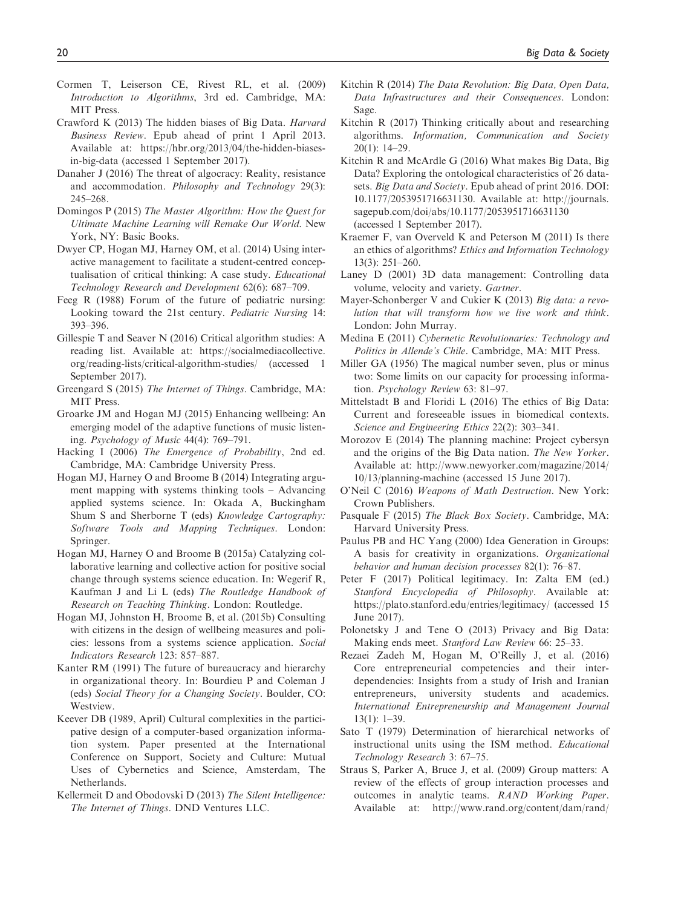- Cormen T, Leiserson CE, Rivest RL, et al. (2009) Introduction to Algorithms, 3rd ed. Cambridge, MA: MIT Press.
- Crawford K (2013) The hidden biases of Big Data. Harvard Business Review. Epub ahead of print 1 April 2013. Available at: [https://hbr.org/2013/04/the-hidden-biases](https://hbr.org/2013/04/the-hidden-biases-in-big-data)[in-big-data](https://hbr.org/2013/04/the-hidden-biases-in-big-data) (accessed 1 September 2017).
- Danaher J (2016) The threat of algocracy: Reality, resistance and accommodation. Philosophy and Technology 29(3): 245–268.
- Domingos P (2015) The Master Algorithm: How the Quest for Ultimate Machine Learning will Remake Our World. New York, NY: Basic Books.
- Dwyer CP, Hogan MJ, Harney OM, et al. (2014) Using interactive management to facilitate a student-centred conceptualisation of critical thinking: A case study. Educational Technology Research and Development 62(6): 687–709.
- Feeg R (1988) Forum of the future of pediatric nursing: Looking toward the 21st century. Pediatric Nursing 14: 393–396.
- Gillespie T and Seaver N (2016) Critical algorithm studies: A reading list. Available at: [https://socialmediacollective.](https://socialmediacollective.org/reading-lists/critical-algorithm-studies/) [org/reading-lists/critical-algorithm-studies/](https://socialmediacollective.org/reading-lists/critical-algorithm-studies/) (accessed 1 September 2017).
- Greengard S (2015) The Internet of Things. Cambridge, MA: MIT Press.
- Groarke JM and Hogan MJ (2015) Enhancing wellbeing: An emerging model of the adaptive functions of music listening. Psychology of Music 44(4): 769–791.
- Hacking I (2006) The Emergence of Probability, 2nd ed. Cambridge, MA: Cambridge University Press.
- Hogan MJ, Harney O and Broome B (2014) Integrating argument mapping with systems thinking tools – Advancing applied systems science. In: Okada A, Buckingham Shum S and Sherborne T (eds) Knowledge Cartography: Software Tools and Mapping Techniques. London: Springer.
- Hogan MJ, Harney O and Broome B (2015a) Catalyzing collaborative learning and collective action for positive social change through systems science education. In: Wegerif R, Kaufman J and Li L (eds) The Routledge Handbook of Research on Teaching Thinking. London: Routledge.
- Hogan MJ, Johnston H, Broome B, et al. (2015b) Consulting with citizens in the design of wellbeing measures and policies: lessons from a systems science application. Social Indicators Research 123: 857–887.
- Kanter RM (1991) The future of bureaucracy and hierarchy in organizational theory. In: Bourdieu P and Coleman J (eds) Social Theory for a Changing Society. Boulder, CO: Westview.
- Keever DB (1989, April) Cultural complexities in the participative design of a computer-based organization information system. Paper presented at the International Conference on Support, Society and Culture: Mutual Uses of Cybernetics and Science, Amsterdam, The Netherlands.
- Kellermeit D and Obodovski D (2013) The Silent Intelligence: The Internet of Things. DND Ventures LLC.
- Kitchin R (2014) The Data Revolution: Big Data, Open Data, Data Infrastructures and their Consequences. London: Sage.
- Kitchin R (2017) Thinking critically about and researching algorithms. Information, Communication and Society 20(1): 14–29.
- Kitchin R and McArdle G (2016) What makes Big Data, Big Data? Exploring the ontological characteristics of 26 datasets. Big Data and Society. Epub ahead of print 2016. DOI: 10.1177/2053951716631130. Available at: [http://journals.](http://journals.sagepub.com/doi/abs/10.1177/2053951716631130) [sagepub.com/doi/abs/10.1177/2053951716631130](http://journals.sagepub.com/doi/abs/10.1177/2053951716631130) (accessed 1 September 2017).
- Kraemer F, van Overveld K and Peterson M (2011) Is there an ethics of algorithms? Ethics and Information Technology 13(3): 251–260.
- Laney D (2001) 3D data management: Controlling data volume, velocity and variety. Gartner.
- Mayer-Schonberger V and Cukier K (2013) Big data: a revolution that will transform how we live work and think. London: John Murray.
- Medina E (2011) Cybernetic Revolutionaries: Technology and Politics in Allende's Chile. Cambridge, MA: MIT Press.
- Miller GA (1956) The magical number seven, plus or minus two: Some limits on our capacity for processing information. Psychology Review 63: 81–97.
- Mittelstadt B and Floridi L (2016) The ethics of Big Data: Current and foreseeable issues in biomedical contexts. Science and Engineering Ethics 22(2): 303–341.
- Morozov E (2014) The planning machine: Project cybersyn and the origins of the Big Data nation. The New Yorker. Available at: [http://www.newyorker.com/magazine/2014/](http://www.newyorker.com/magazine/2014/10/13/planning-machine) [10/13/planning-machine](http://www.newyorker.com/magazine/2014/10/13/planning-machine) (accessed 15 June 2017).
- O'Neil C (2016) Weapons of Math Destruction. New York: Crown Publishers.
- Pasquale F (2015) The Black Box Society. Cambridge, MA: Harvard University Press.
- Paulus PB and HC Yang (2000) Idea Generation in Groups: A basis for creativity in organizations. Organizational behavior and human decision processes 82(1): 76–87.
- Peter F (2017) Political legitimacy. In: Zalta EM (ed.) Stanford Encyclopedia of Philosophy. Available at: <https://plato.stanford.edu/entries/legitimacy/> (accessed 15 June 2017).
- Polonetsky J and Tene O (2013) Privacy and Big Data: Making ends meet. Stanford Law Review 66: 25–33.
- Rezaei Zadeh M, Hogan M, O'Reilly J, et al. (2016) Core entrepreneurial competencies and their interdependencies: Insights from a study of Irish and Iranian entrepreneurs, university students and academics. International Entrepreneurship and Management Journal 13(1): 1–39.
- Sato T (1979) Determination of hierarchical networks of instructional units using the ISM method. Educational Technology Research 3: 67–75.
- Straus S, Parker A, Bruce J, et al. (2009) Group matters: A review of the effects of group interaction processes and outcomes in analytic teams. RAND Working Paper. Available at: [http://www.rand.org/content/dam/rand/](http://www.rand.org/content/dam/rand/pubs/working_papers/2009/RAND_WR580.pdf)